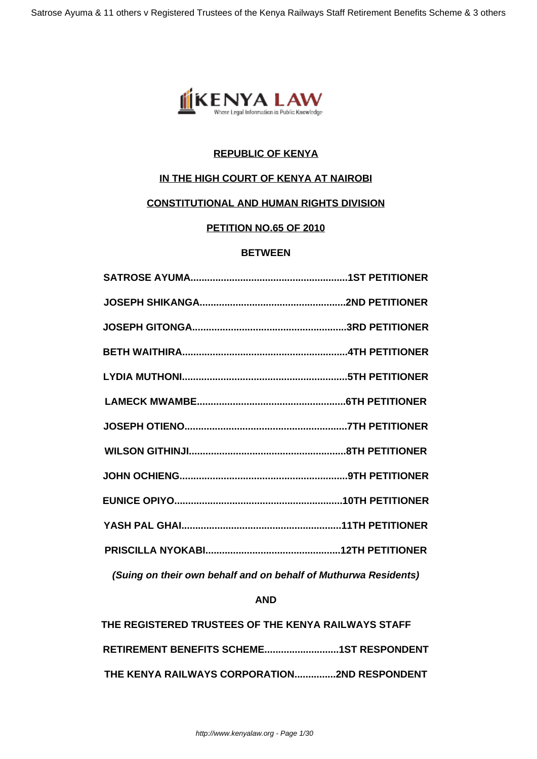

# **REPUBLIC OF KENYA**

# **IN THE HIGH COURT OF KENYA AT NAIROBI**

# **CONSTITUTIONAL AND HUMAN RIGHTS DIVISION**

# **PETITION NO.65 OF 2010**

### **BETWEEN**

**(Suing on their own behalf and on behalf of Muthurwa Residents)**

### **AND**

| THE REGISTERED TRUSTEES OF THE KENYA RAILWAYS STAFF |  |
|-----------------------------------------------------|--|
|                                                     |  |
| THE KENYA RAILWAYS CORPORATION2ND RESPONDENT        |  |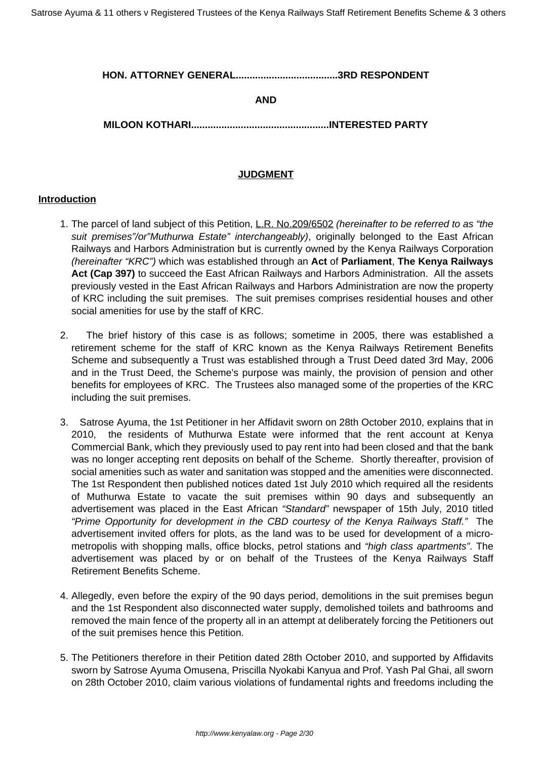### **HON. ATTORNEY GENERAL.....................................3RD RESPONDENT**

### **AND**

**MILOON KOTHARI..................................................INTERESTED PARTY**

### **JUDGMENT**

#### **Introduction**

- 1. The parcel of land subject of this Petition, L.R. No.209/6502 (hereinafter to be referred to as "the suit premises"/or"Muthurwa Estate" interchangeably), originally belonged to the East African Railways and Harbors Administration but is currently owned by the Kenya Railways Corporation (hereinafter "KRC") which was established through an **Act** of **Parliament**, **The Kenya Railways Act (Cap 397)** to succeed the East African Railways and Harbors Administration. All the assets previously vested in the East African Railways and Harbors Administration are now the property of KRC including the suit premises. The suit premises comprises residential houses and other social amenities for use by the staff of KRC.
- 2. The brief history of this case is as follows; sometime in 2005, there was established a retirement scheme for the staff of KRC known as the Kenya Railways Retirement Benefits Scheme and subsequently a Trust was established through a Trust Deed dated 3rd May, 2006 and in the Trust Deed, the Scheme's purpose was mainly, the provision of pension and other benefits for employees of KRC. The Trustees also managed some of the properties of the KRC including the suit premises.
- 3. Satrose Ayuma, the 1st Petitioner in her Affidavit sworn on 28th October 2010, explains that in 2010, the residents of Muthurwa Estate were informed that the rent account at Kenya Commercial Bank, which they previously used to pay rent into had been closed and that the bank was no longer accepting rent deposits on behalf of the Scheme. Shortly thereafter, provision of social amenities such as water and sanitation was stopped and the amenities were disconnected. The 1st Respondent then published notices dated 1st July 2010 which required all the residents of Muthurwa Estate to vacate the suit premises within 90 days and subsequently an advertisement was placed in the East African "Standard" newspaper of 15th July, 2010 titled "Prime Opportunity for development in the CBD courtesy of the Kenya Railways Staff." The advertisement invited offers for plots, as the land was to be used for development of a micrometropolis with shopping malls, office blocks, petrol stations and "high class apartments". The advertisement was placed by or on behalf of the Trustees of the Kenya Railways Staff Retirement Benefits Scheme.
- 4. Allegedly, even before the expiry of the 90 days period, demolitions in the suit premises begun and the 1st Respondent also disconnected water supply, demolished toilets and bathrooms and removed the main fence of the property all in an attempt at deliberately forcing the Petitioners out of the suit premises hence this Petition.
- 5. The Petitioners therefore in their Petition dated 28th October 2010, and supported by Affidavits sworn by Satrose Ayuma Omusena, Priscilla Nyokabi Kanyua and Prof. Yash Pal Ghai, all sworn on 28th October 2010, claim various violations of fundamental rights and freedoms including the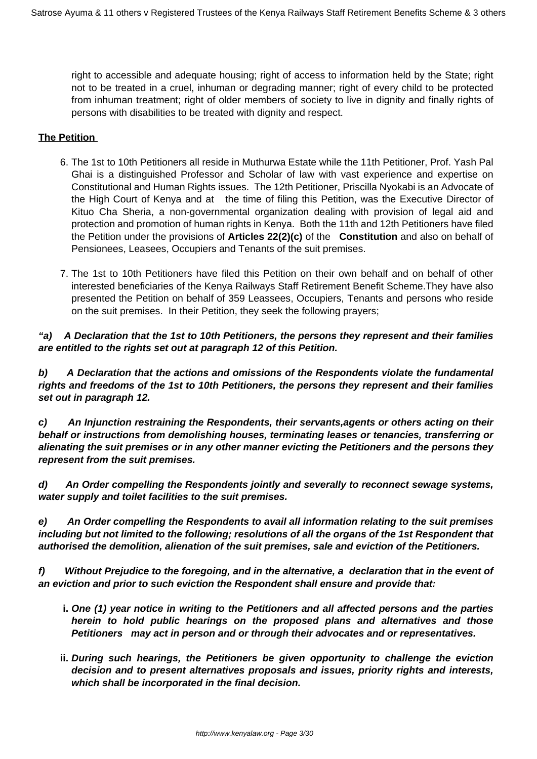right to accessible and adequate housing; right of access to information held by the State; right not to be treated in a cruel, inhuman or degrading manner; right of every child to be protected from inhuman treatment; right of older members of society to live in dignity and finally rights of persons with disabilities to be treated with dignity and respect.

## **The Petition**

- 6. The 1st to 10th Petitioners all reside in Muthurwa Estate while the 11th Petitioner, Prof. Yash Pal Ghai is a distinguished Professor and Scholar of law with vast experience and expertise on Constitutional and Human Rights issues. The 12th Petitioner, Priscilla Nyokabi is an Advocate of the High Court of Kenya and at the time of filing this Petition, was the Executive Director of Kituo Cha Sheria, a non-governmental organization dealing with provision of legal aid and protection and promotion of human rights in Kenya. Both the 11th and 12th Petitioners have filed the Petition under the provisions of **Articles 22(2)(c)** of the **Constitution** and also on behalf of Pensionees, Leasees, Occupiers and Tenants of the suit premises.
- 7. The 1st to 10th Petitioners have filed this Petition on their own behalf and on behalf of other interested beneficiaries of the Kenya Railways Staff Retirement Benefit Scheme.They have also presented the Petition on behalf of 359 Leassees, Occupiers, Tenants and persons who reside on the suit premises. In their Petition, they seek the following prayers;

**"a) A Declaration that the 1st to 10th Petitioners, the persons they represent and their families are entitled to the rights set out at paragraph 12 of this Petition.**

**b) A Declaration that the actions and omissions of the Respondents violate the fundamental rights and freedoms of the 1st to 10th Petitioners, the persons they represent and their families set out in paragraph 12.**

**c) An Injunction restraining the Respondents, their servants,agents or others acting on their behalf or instructions from demolishing houses, terminating leases or tenancies, transferring or alienating the suit premises or in any other manner evicting the Petitioners and the persons they represent from the suit premises.**

**d) An Order compelling the Respondents jointly and severally to reconnect sewage systems, water supply and toilet facilities to the suit premises.**

**e) An Order compelling the Respondents to avail all information relating to the suit premises including but not limited to the following; resolutions of all the organs of the 1st Respondent that authorised the demolition, alienation of the suit premises, sale and eviction of the Petitioners.**

**f) Without Prejudice to the foregoing, and in the alternative, a declaration that in the event of an eviction and prior to such eviction the Respondent shall ensure and provide that:**

- **i. One (1) year notice in writing to the Petitioners and all affected persons and the parties herein to hold public hearings on the proposed plans and alternatives and those Petitioners may act in person and or through their advocates and or representatives.**
- **ii. During such hearings, the Petitioners be given opportunity to challenge the eviction decision and to present alternatives proposals and issues, priority rights and interests, which shall be incorporated in the final decision.**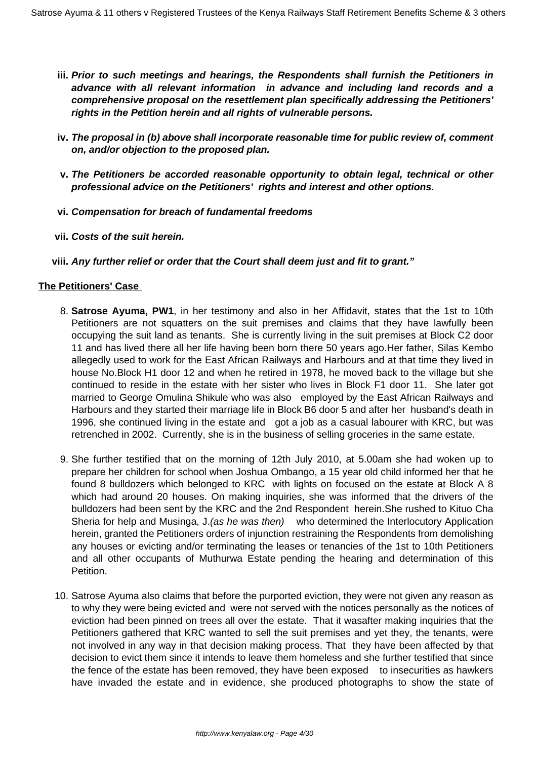- **iii. Prior to such meetings and hearings, the Respondents shall furnish the Petitioners in advance with all relevant information in advance and including land records and a comprehensive proposal on the resettlement plan specifically addressing the Petitioners' rights in the Petition herein and all rights of vulnerable persons.**
- **iv. The proposal in (b) above shall incorporate reasonable time for public review of, comment on, and/or objection to the proposed plan.**
- **v. The Petitioners be accorded reasonable opportunity to obtain legal, technical or other professional advice on the Petitioners' rights and interest and other options.**
- **vi. Compensation for breach of fundamental freedoms**
- **vii. Costs of the suit herein.**
- **viii. Any further relief or order that the Court shall deem just and fit to grant."**

### **The Petitioners' Case**

- 8. **Satrose Ayuma, PW1**, in her testimony and also in her Affidavit, states that the 1st to 10th Petitioners are not squatters on the suit premises and claims that they have lawfully been occupying the suit land as tenants. She is currently living in the suit premises at Block C2 door 11 and has lived there all her life having been born there 50 years ago.Her father, Silas Kembo allegedly used to work for the East African Railways and Harbours and at that time they lived in house No.Block H1 door 12 and when he retired in 1978, he moved back to the village but she continued to reside in the estate with her sister who lives in Block F1 door 11. She later got married to George Omulina Shikule who was also employed by the East African Railways and Harbours and they started their marriage life in Block B6 door 5 and after her husband's death in 1996, she continued living in the estate and got a job as a casual labourer with KRC, but was retrenched in 2002. Currently, she is in the business of selling groceries in the same estate.
- 9. She further testified that on the morning of 12th July 2010, at 5.00am she had woken up to prepare her children for school when Joshua Ombango, a 15 year old child informed her that he found 8 bulldozers which belonged to KRC with lights on focused on the estate at Block A 8 which had around 20 houses. On making inquiries, she was informed that the drivers of the bulldozers had been sent by the KRC and the 2nd Respondent herein.She rushed to Kituo Cha Sheria for help and Musinga, J. (as he was then) who determined the Interlocutory Application herein, granted the Petitioners orders of injunction restraining the Respondents from demolishing any houses or evicting and/or terminating the leases or tenancies of the 1st to 10th Petitioners and all other occupants of Muthurwa Estate pending the hearing and determination of this Petition.
- 10. Satrose Ayuma also claims that before the purported eviction, they were not given any reason as to why they were being evicted and were not served with the notices personally as the notices of eviction had been pinned on trees all over the estate. That it wasafter making inquiries that the Petitioners gathered that KRC wanted to sell the suit premises and yet they, the tenants, were not involved in any way in that decision making process. That they have been affected by that decision to evict them since it intends to leave them homeless and she further testified that since the fence of the estate has been removed, they have been exposed to insecurities as hawkers have invaded the estate and in evidence, she produced photographs to show the state of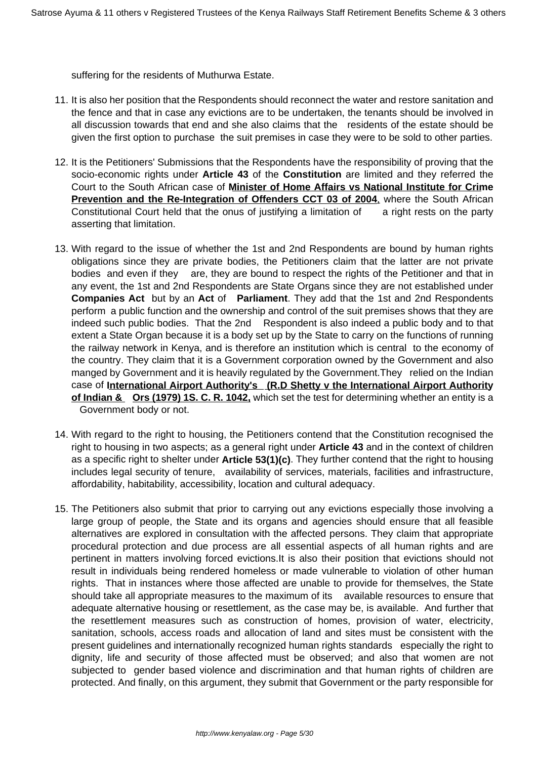suffering for the residents of Muthurwa Estate.

- 11. It is also her position that the Respondents should reconnect the water and restore sanitation and the fence and that in case any evictions are to be undertaken, the tenants should be involved in all discussion towards that end and she also claims that the residents of the estate should be given the first option to purchase the suit premises in case they were to be sold to other parties.
- 12. It is the Petitioners' Submissions that the Respondents have the responsibility of proving that the socio-economic rights under **Article 43** of the **Constitution** are limited and they referred the Court to the South African case of **Minister of Home Affairs vs National Institute for Crime Prevention and the Re-Integration of Offenders CCT 03 of 2004**, where the South African Constitutional Court held that the onus of justifying a limitation of a right rests on the party asserting that limitation.
- 13. With regard to the issue of whether the 1st and 2nd Respondents are bound by human rights obligations since they are private bodies, the Petitioners claim that the latter are not private bodies and even if they are, they are bound to respect the rights of the Petitioner and that in any event, the 1st and 2nd Respondents are State Organs since they are not established under **Companies Act** but by an **Act** of **Parliament**. They add that the 1st and 2nd Respondents perform a public function and the ownership and control of the suit premises shows that they are indeed such public bodies. That the 2nd Respondent is also indeed a public body and to that extent a State Organ because it is a body set up by the State to carry on the functions of running the railway network in Kenya, and is therefore an institution which is central to the economy of the country. They claim that it is a Government corporation owned by the Government and also manged by Government and it is heavily regulated by the Government.They relied on the Indian case of **International Airport Authority's (R.D Shetty v the International Airport Authority of Indian & Ors (1979) 1S. C. R. 1042,** which set the test for determining whether an entity is a Government body or not.
- 14. With regard to the right to housing, the Petitioners contend that the Constitution recognised the right to housing in two aspects; as a general right under **Article 43** and in the context of children as a specific right to shelter under **Article 53(1)(c)**. They further contend that the right to housing includes legal security of tenure, availability of services, materials, facilities and infrastructure, affordability, habitability, accessibility, location and cultural adequacy.
- 15. The Petitioners also submit that prior to carrying out any evictions especially those involving a large group of people, the State and its organs and agencies should ensure that all feasible alternatives are explored in consultation with the affected persons. They claim that appropriate procedural protection and due process are all essential aspects of all human rights and are pertinent in matters involving forced evictions.It is also their position that evictions should not result in individuals being rendered homeless or made vulnerable to violation of other human rights. That in instances where those affected are unable to provide for themselves, the State should take all appropriate measures to the maximum of its available resources to ensure that adequate alternative housing or resettlement, as the case may be, is available. And further that the resettlement measures such as construction of homes, provision of water, electricity, sanitation, schools, access roads and allocation of land and sites must be consistent with the present guidelines and internationally recognized human rights standards especially the right to dignity, life and security of those affected must be observed; and also that women are not subjected to gender based violence and discrimination and that human rights of children are protected. And finally, on this argument, they submit that Government or the party responsible for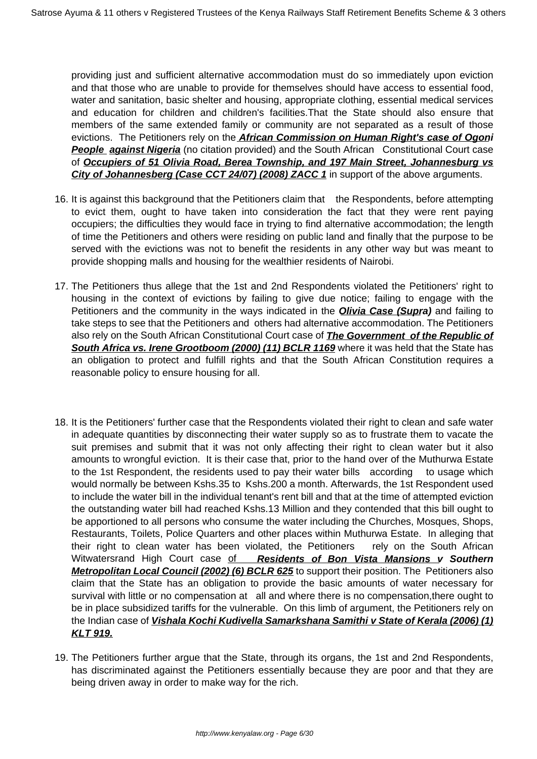providing just and sufficient alternative accommodation must do so immediately upon eviction and that those who are unable to provide for themselves should have access to essential food, water and sanitation, basic shelter and housing, appropriate clothing, essential medical services and education for children and children's facilities.That the State should also ensure that members of the same extended family or community are not separated as a result of those evictions. The Petitioners rely on the **African Commission on Human Right's case of Ogoni People against Nigeria** (no citation provided) and the South African Constitutional Court case of **Occupiers of 51 Olivia Road, Berea Township, and 197 Main Street, Johannesburg vs City of Johannesberg (Case CCT 24/07) (2008) ZACC 1** in support of the above arguments.

- 16. It is against this background that the Petitioners claim that the Respondents, before attempting to evict them, ought to have taken into consideration the fact that they were rent paying occupiers; the difficulties they would face in trying to find alternative accommodation; the length of time the Petitioners and others were residing on public land and finally that the purpose to be served with the evictions was not to benefit the residents in any other way but was meant to provide shopping malls and housing for the wealthier residents of Nairobi.
- 17. The Petitioners thus allege that the 1st and 2nd Respondents violated the Petitioners' right to housing in the context of evictions by failing to give due notice; failing to engage with the Petitioners and the community in the ways indicated in the **Olivia Case (Supra)** and failing to take steps to see that the Petitioners and others had alternative accommodation. The Petitioners also rely on the South African Constitutional Court case of **The Government of the Republic of South Africa vs. Irene Grootboom (2000) (11) BCLR 1169** where it was held that the State has an obligation to protect and fulfill rights and that the South African Constitution requires a reasonable policy to ensure housing for all.
- 18. It is the Petitioners' further case that the Respondents violated their right to clean and safe water in adequate quantities by disconnecting their water supply so as to frustrate them to vacate the suit premises and submit that it was not only affecting their right to clean water but it also amounts to wrongful eviction. It is their case that, prior to the hand over of the Muthurwa Estate to the 1st Respondent, the residents used to pay their water bills according to usage which would normally be between Kshs.35 to Kshs.200 a month. Afterwards, the 1st Respondent used to include the water bill in the individual tenant's rent bill and that at the time of attempted eviction the outstanding water bill had reached Kshs.13 Million and they contended that this bill ought to be apportioned to all persons who consume the water including the Churches, Mosques, Shops, Restaurants, Toilets, Police Quarters and other places within Muthurwa Estate. In alleging that their right to clean water has been violated, the Petitioners rely on the South African Witwatersrand High Court case of **Residents of Bon Vista Mansions v Southern Metropolitan Local Council (2002) (6) BCLR 625** to support their position. The Petitioners also claim that the State has an obligation to provide the basic amounts of water necessary for survival with little or no compensation at all and where there is no compensation, there ought to be in place subsidized tariffs for the vulnerable. On this limb of argument, the Petitioners rely on the Indian case of **Vishala Kochi Kudivella Samarkshana Samithi v State of Kerala (2006) (1) KLT 919.**
- 19. The Petitioners further argue that the State, through its organs, the 1st and 2nd Respondents, has discriminated against the Petitioners essentially because they are poor and that they are being driven away in order to make way for the rich.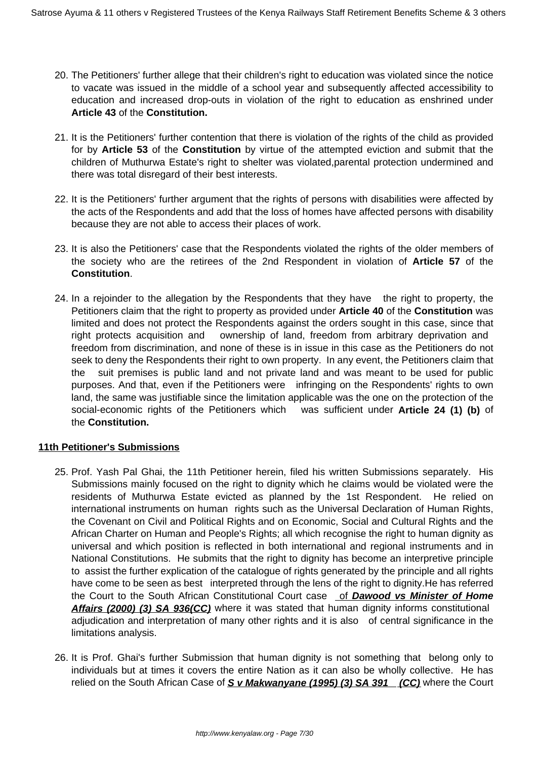- 20. The Petitioners' further allege that their children's right to education was violated since the notice to vacate was issued in the middle of a school year and subsequently affected accessibility to education and increased drop-outs in violation of the right to education as enshrined under **Article 43** of the **Constitution.**
- 21. It is the Petitioners' further contention that there is violation of the rights of the child as provided for by **Article 53** of the **Constitution** by virtue of the attempted eviction and submit that the children of Muthurwa Estate's right to shelter was violated,parental protection undermined and there was total disregard of their best interests.
- 22. It is the Petitioners' further argument that the rights of persons with disabilities were affected by the acts of the Respondents and add that the loss of homes have affected persons with disability because they are not able to access their places of work.
- 23. It is also the Petitioners' case that the Respondents violated the rights of the older members of the society who are the retirees of the 2nd Respondent in violation of **Article 57** of the **Constitution**.
- 24. In a rejoinder to the allegation by the Respondents that they have the right to property, the Petitioners claim that the right to property as provided under **Article 40** of the **Constitution** was limited and does not protect the Respondents against the orders sought in this case, since that right protects acquisition and ownership of land, freedom from arbitrary deprivation and freedom from discrimination, and none of these is in issue in this case as the Petitioners do not seek to deny the Respondents their right to own property. In any event, the Petitioners claim that the suit premises is public land and not private land and was meant to be used for public purposes. And that, even if the Petitioners were infringing on the Respondents' rights to own land, the same was justifiable since the limitation applicable was the one on the protection of the social-economic rights of the Petitioners which was sufficient under **Article 24 (1) (b)** of the **Constitution.**

## **11th Petitioner's Submissions**

- 25. Prof. Yash Pal Ghai, the 11th Petitioner herein, filed his written Submissions separately. His Submissions mainly focused on the right to dignity which he claims would be violated were the residents of Muthurwa Estate evicted as planned by the 1st Respondent. He relied on international instruments on human rights such as the Universal Declaration of Human Rights, the Covenant on Civil and Political Rights and on Economic, Social and Cultural Rights and the African Charter on Human and People's Rights; all which recognise the right to human dignity as universal and which position is reflected in both international and regional instruments and in National Constitutions. He submits that the right to dignity has become an interpretive principle to assist the further explication of the catalogue of rights generated by the principle and all rights have come to be seen as best interpreted through the lens of the right to dignity.He has referred the Court to the South African Constitutional Court case of **Dawood vs Minister of Home Affairs (2000) (3) SA 936(CC)** where it was stated that human dignity informs constitutional adjudication and interpretation of many other rights and it is also of central significance in the limitations analysis.
- 26. It is Prof. Ghai's further Submission that human dignity is not something that belong only to individuals but at times it covers the entire Nation as it can also be wholly collective. He has relied on the South African Case of **S v Makwanyane (1995) (3) SA 391 (CC)** where the Court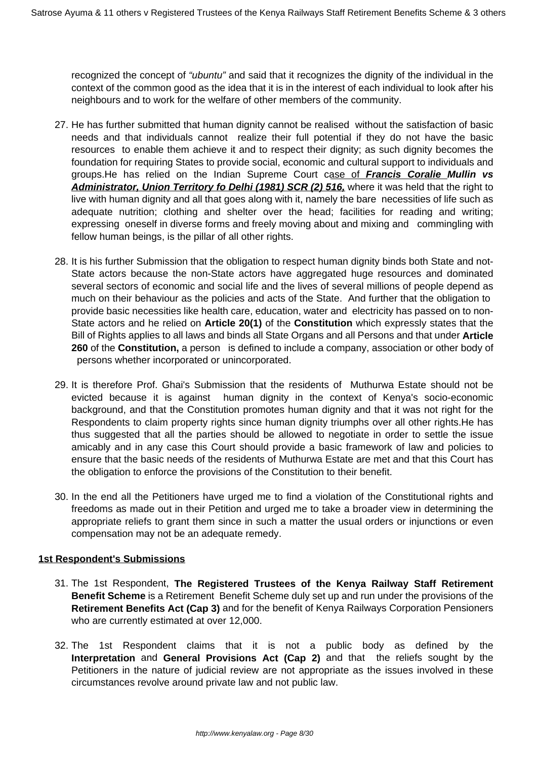recognized the concept of "ubuntu" and said that it recognizes the dignity of the individual in the context of the common good as the idea that it is in the interest of each individual to look after his neighbours and to work for the welfare of other members of the community.

- 27. He has further submitted that human dignity cannot be realised without the satisfaction of basic needs and that individuals cannot realize their full potential if they do not have the basic resources to enable them achieve it and to respect their dignity; as such dignity becomes the foundation for requiring States to provide social, economic and cultural support to individuals and groups.He has relied on the Indian Supreme Court case of **Francis Coralie Mullin vs Administrator, Union Territory fo Delhi (1981) SCR (2) 516,** where it was held that the right to live with human dignity and all that goes along with it, namely the bare necessities of life such as adequate nutrition; clothing and shelter over the head; facilities for reading and writing; expressing oneself in diverse forms and freely moving about and mixing and commingling with fellow human beings, is the pillar of all other rights.
- 28. It is his further Submission that the obligation to respect human dignity binds both State and not-State actors because the non-State actors have aggregated huge resources and dominated several sectors of economic and social life and the lives of several millions of people depend as much on their behaviour as the policies and acts of the State. And further that the obligation to provide basic necessities like health care, education, water and electricity has passed on to non-State actors and he relied on **Article 20(1)** of the **Constitution** which expressly states that the Bill of Rights applies to all laws and binds all State Organs and all Persons and that under **Article 260** of the **Constitution,** a person is defined to include a company, association or other body of persons whether incorporated or unincorporated.
- 29. It is therefore Prof. Ghai's Submission that the residents of Muthurwa Estate should not be evicted because it is against human dignity in the context of Kenya's socio-economic background, and that the Constitution promotes human dignity and that it was not right for the Respondents to claim property rights since human dignity triumphs over all other rights.He has thus suggested that all the parties should be allowed to negotiate in order to settle the issue amicably and in any case this Court should provide a basic framework of law and policies to ensure that the basic needs of the residents of Muthurwa Estate are met and that this Court has the obligation to enforce the provisions of the Constitution to their benefit.
- 30. In the end all the Petitioners have urged me to find a violation of the Constitutional rights and freedoms as made out in their Petition and urged me to take a broader view in determining the appropriate reliefs to grant them since in such a matter the usual orders or injunctions or even compensation may not be an adequate remedy.

## **1st Respondent's Submissions**

- 31. The 1st Respondent, **The Registered Trustees of the Kenya Railway Staff Retirement Benefit Scheme** is a Retirement Benefit Scheme duly set up and run under the provisions of the **Retirement Benefits Act (Cap 3)** and for the benefit of Kenya Railways Corporation Pensioners who are currently estimated at over 12,000.
- 32. The 1st Respondent claims that it is not a public body as defined by the **Interpretation** and **General Provisions Act (Cap 2)** and that the reliefs sought by the Petitioners in the nature of judicial review are not appropriate as the issues involved in these circumstances revolve around private law and not public law.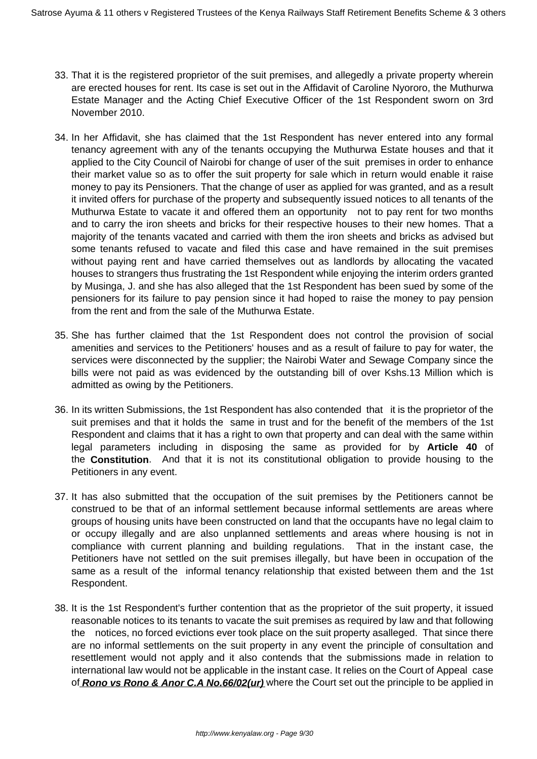- 33. That it is the registered proprietor of the suit premises, and allegedly a private property wherein are erected houses for rent. Its case is set out in the Affidavit of Caroline Nyororo, the Muthurwa Estate Manager and the Acting Chief Executive Officer of the 1st Respondent sworn on 3rd November 2010.
- 34. In her Affidavit, she has claimed that the 1st Respondent has never entered into any formal tenancy agreement with any of the tenants occupying the Muthurwa Estate houses and that it applied to the City Council of Nairobi for change of user of the suit premises in order to enhance their market value so as to offer the suit property for sale which in return would enable it raise money to pay its Pensioners. That the change of user as applied for was granted, and as a result it invited offers for purchase of the property and subsequently issued notices to all tenants of the Muthurwa Estate to vacate it and offered them an opportunity not to pay rent for two months and to carry the iron sheets and bricks for their respective houses to their new homes. That a majority of the tenants vacated and carried with them the iron sheets and bricks as advised but some tenants refused to vacate and filed this case and have remained in the suit premises without paying rent and have carried themselves out as landlords by allocating the vacated houses to strangers thus frustrating the 1st Respondent while enjoying the interim orders granted by Musinga, J. and she has also alleged that the 1st Respondent has been sued by some of the pensioners for its failure to pay pension since it had hoped to raise the money to pay pension from the rent and from the sale of the Muthurwa Estate.
- 35. She has further claimed that the 1st Respondent does not control the provision of social amenities and services to the Petitioners' houses and as a result of failure to pay for water, the services were disconnected by the supplier; the Nairobi Water and Sewage Company since the bills were not paid as was evidenced by the outstanding bill of over Kshs.13 Million which is admitted as owing by the Petitioners.
- 36. In its written Submissions, the 1st Respondent has also contended that it is the proprietor of the suit premises and that it holds the same in trust and for the benefit of the members of the 1st Respondent and claims that it has a right to own that property and can deal with the same within legal parameters including in disposing the same as provided for by **Article 40** of the **Constitution**. And that it is not its constitutional obligation to provide housing to the Petitioners in any event.
- 37. It has also submitted that the occupation of the suit premises by the Petitioners cannot be construed to be that of an informal settlement because informal settlements are areas where groups of housing units have been constructed on land that the occupants have no legal claim to or occupy illegally and are also unplanned settlements and areas where housing is not in compliance with current planning and building regulations. That in the instant case, the Petitioners have not settled on the suit premises illegally, but have been in occupation of the same as a result of the informal tenancy relationship that existed between them and the 1st Respondent.
- 38. It is the 1st Respondent's further contention that as the proprietor of the suit property, it issued reasonable notices to its tenants to vacate the suit premises as required by law and that following the notices, no forced evictions ever took place on the suit property asalleged. That since there are no informal settlements on the suit property in any event the principle of consultation and resettlement would not apply and it also contends that the submissions made in relation to international law would not be applicable in the instant case. It relies on the Court of Appeal case of **Rono vs Rono & Anor C.A No.66/02(ur)** where the Court set out the principle to be applied in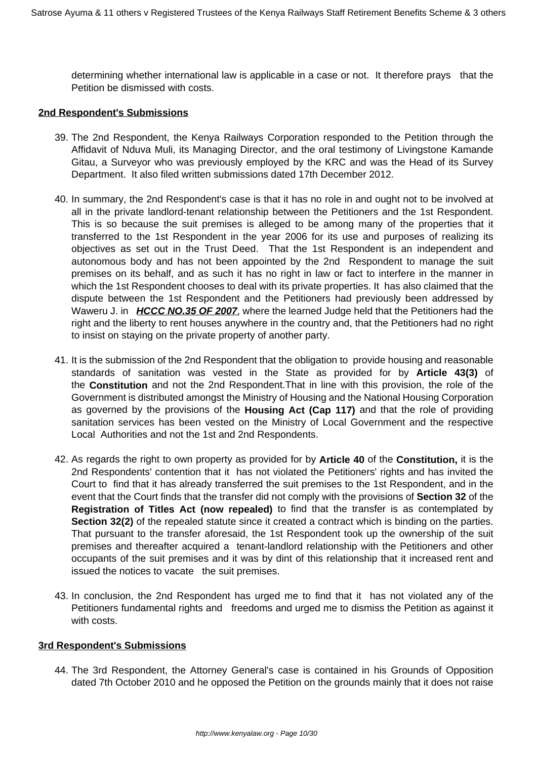determining whether international law is applicable in a case or not. It therefore prays that the Petition be dismissed with costs.

### **2nd Respondent's Submissions**

- 39. The 2nd Respondent, the Kenya Railways Corporation responded to the Petition through the Affidavit of Nduva Muli, its Managing Director, and the oral testimony of Livingstone Kamande Gitau, a Surveyor who was previously employed by the KRC and was the Head of its Survey Department. It also filed written submissions dated 17th December 2012.
- 40. In summary, the 2nd Respondent's case is that it has no role in and ought not to be involved at all in the private landlord-tenant relationship between the Petitioners and the 1st Respondent. This is so because the suit premises is alleged to be among many of the properties that it transferred to the 1st Respondent in the year 2006 for its use and purposes of realizing its objectives as set out in the Trust Deed. That the 1st Respondent is an independent and autonomous body and has not been appointed by the 2nd Respondent to manage the suit premises on its behalf, and as such it has no right in law or fact to interfere in the manner in which the 1st Respondent chooses to deal with its private properties. It has also claimed that the dispute between the 1st Respondent and the Petitioners had previously been addressed by Waweru J. in **HCCC NO.35 OF 2007**, where the learned Judge held that the Petitioners had the right and the liberty to rent houses anywhere in the country and, that the Petitioners had no right to insist on staying on the private property of another party.
- 41. It is the submission of the 2nd Respondent that the obligation to provide housing and reasonable standards of sanitation was vested in the State as provided for by **Article 43(3)** of the **Constitution** and not the 2nd Respondent.That in line with this provision, the role of the Government is distributed amongst the Ministry of Housing and the National Housing Corporation as governed by the provisions of the **Housing Act (Cap 117)** and that the role of providing sanitation services has been vested on the Ministry of Local Government and the respective Local Authorities and not the 1st and 2nd Respondents.
- 42. As regards the right to own property as provided for by **Article 40** of the **Constitution,** it is the 2nd Respondents' contention that it has not violated the Petitioners' rights and has invited the Court to find that it has already transferred the suit premises to the 1st Respondent, and in the event that the Court finds that the transfer did not comply with the provisions of **Section 32** of the **Registration of Titles Act (now repealed)** to find that the transfer is as contemplated by **Section 32(2)** of the repealed statute since it created a contract which is binding on the parties. That pursuant to the transfer aforesaid, the 1st Respondent took up the ownership of the suit premises and thereafter acquired a tenant-landlord relationship with the Petitioners and other occupants of the suit premises and it was by dint of this relationship that it increased rent and issued the notices to vacate the suit premises.
- 43. In conclusion, the 2nd Respondent has urged me to find that it has not violated any of the Petitioners fundamental rights and freedoms and urged me to dismiss the Petition as against it with costs.

#### **3rd Respondent's Submissions**

44. The 3rd Respondent, the Attorney General's case is contained in his Grounds of Opposition dated 7th October 2010 and he opposed the Petition on the grounds mainly that it does not raise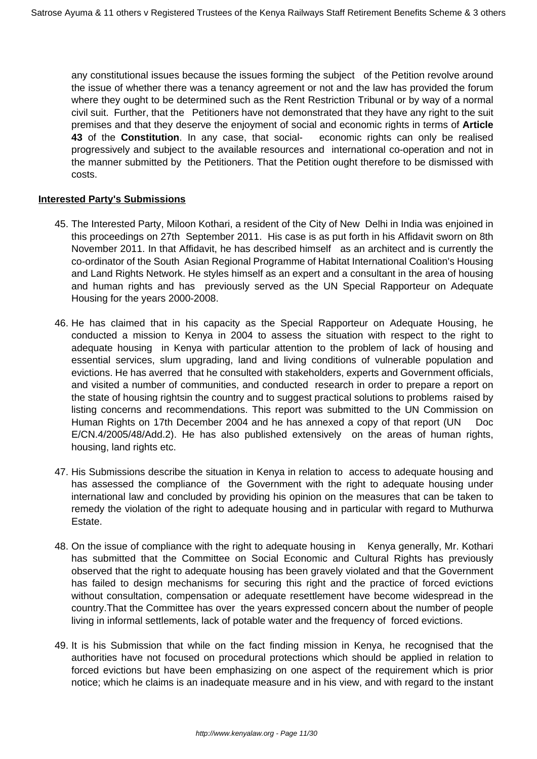any constitutional issues because the issues forming the subject of the Petition revolve around the issue of whether there was a tenancy agreement or not and the law has provided the forum where they ought to be determined such as the Rent Restriction Tribunal or by way of a normal civil suit. Further, that the Petitioners have not demonstrated that they have any right to the suit premises and that they deserve the enjoyment of social and economic rights in terms of **Article 43** of the **Constitution**. In any case, that social- economic rights can only be realised progressively and subject to the available resources and international co-operation and not in the manner submitted by the Petitioners. That the Petition ought therefore to be dismissed with costs.

### **Interested Party's Submissions**

- 45. The Interested Party, Miloon Kothari, a resident of the City of New Delhi in India was enjoined in this proceedings on 27th September 2011. His case is as put forth in his Affidavit sworn on 8th November 2011. In that Affidavit, he has described himself as an architect and is currently the co-ordinator of the South Asian Regional Programme of Habitat International Coalition's Housing and Land Rights Network. He styles himself as an expert and a consultant in the area of housing and human rights and has previously served as the UN Special Rapporteur on Adequate Housing for the years 2000-2008.
- 46. He has claimed that in his capacity as the Special Rapporteur on Adequate Housing, he conducted a mission to Kenya in 2004 to assess the situation with respect to the right to adequate housing in Kenya with particular attention to the problem of lack of housing and essential services, slum upgrading, land and living conditions of vulnerable population and evictions. He has averred that he consulted with stakeholders, experts and Government officials, and visited a number of communities, and conducted research in order to prepare a report on the state of housing rightsin the country and to suggest practical solutions to problems raised by listing concerns and recommendations. This report was submitted to the UN Commission on Human Rights on 17th December 2004 and he has annexed a copy of that report (UN Doc E/CN.4/2005/48/Add.2). He has also published extensively on the areas of human rights, housing, land rights etc.
- 47. His Submissions describe the situation in Kenya in relation to access to adequate housing and has assessed the compliance of the Government with the right to adequate housing under international law and concluded by providing his opinion on the measures that can be taken to remedy the violation of the right to adequate housing and in particular with regard to Muthurwa Estate.
- 48. On the issue of compliance with the right to adequate housing in Kenya generally, Mr. Kothari has submitted that the Committee on Social Economic and Cultural Rights has previously observed that the right to adequate housing has been gravely violated and that the Government has failed to design mechanisms for securing this right and the practice of forced evictions without consultation, compensation or adequate resettlement have become widespread in the country.That the Committee has over the years expressed concern about the number of people living in informal settlements, lack of potable water and the frequency of forced evictions.
- 49. It is his Submission that while on the fact finding mission in Kenya, he recognised that the authorities have not focused on procedural protections which should be applied in relation to forced evictions but have been emphasizing on one aspect of the requirement which is prior notice; which he claims is an inadequate measure and in his view, and with regard to the instant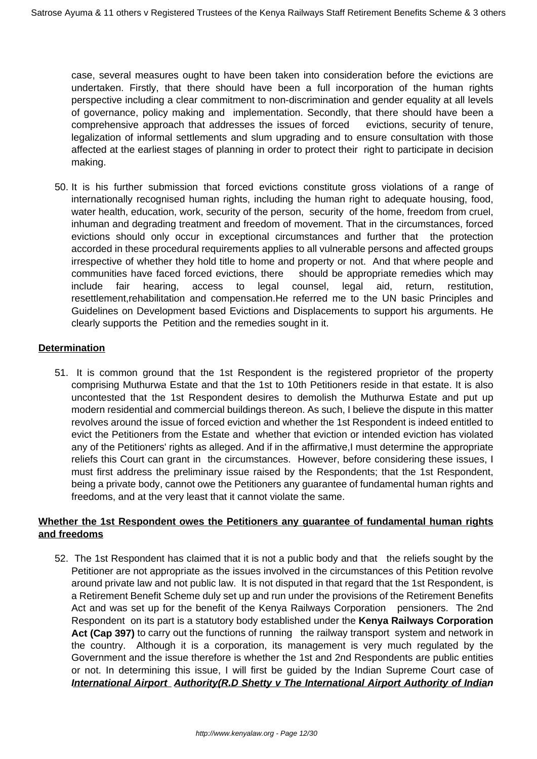case, several measures ought to have been taken into consideration before the evictions are undertaken. Firstly, that there should have been a full incorporation of the human rights perspective including a clear commitment to non-discrimination and gender equality at all levels of governance, policy making and implementation. Secondly, that there should have been a comprehensive approach that addresses the issues of forced evictions, security of tenure, legalization of informal settlements and slum upgrading and to ensure consultation with those affected at the earliest stages of planning in order to protect their right to participate in decision making.

50. It is his further submission that forced evictions constitute gross violations of a range of internationally recognised human rights, including the human right to adequate housing, food, water health, education, work, security of the person, security of the home, freedom from cruel, inhuman and degrading treatment and freedom of movement. That in the circumstances, forced evictions should only occur in exceptional circumstances and further that the protection accorded in these procedural requirements applies to all vulnerable persons and affected groups irrespective of whether they hold title to home and property or not. And that where people and communities have faced forced evictions, there should be appropriate remedies which may include fair hearing, access to legal counsel, legal aid, return, restitution, resettlement,rehabilitation and compensation.He referred me to the UN basic Principles and Guidelines on Development based Evictions and Displacements to support his arguments. He clearly supports the Petition and the remedies sought in it.

# **Determination**

51. It is common ground that the 1st Respondent is the registered proprietor of the property comprising Muthurwa Estate and that the 1st to 10th Petitioners reside in that estate. It is also uncontested that the 1st Respondent desires to demolish the Muthurwa Estate and put up modern residential and commercial buildings thereon. As such, I believe the dispute in this matter revolves around the issue of forced eviction and whether the 1st Respondent is indeed entitled to evict the Petitioners from the Estate and whether that eviction or intended eviction has violated any of the Petitioners' rights as alleged. And if in the affirmative,I must determine the appropriate reliefs this Court can grant in the circumstances. However, before considering these issues, I must first address the preliminary issue raised by the Respondents; that the 1st Respondent, being a private body, cannot owe the Petitioners any guarantee of fundamental human rights and freedoms, and at the very least that it cannot violate the same.

## **Whether the 1st Respondent owes the Petitioners any guarantee of fundamental human rights and freedoms**

52. The 1st Respondent has claimed that it is not a public body and that the reliefs sought by the Petitioner are not appropriate as the issues involved in the circumstances of this Petition revolve around private law and not public law. It is not disputed in that regard that the 1st Respondent, is a Retirement Benefit Scheme duly set up and run under the provisions of the Retirement Benefits Act and was set up for the benefit of the Kenya Railways Corporation pensioners. The 2nd Respondent on its part is a statutory body established under the **Kenya Railways Corporation** Act (Cap 397) to carry out the functions of running the railway transport system and network in the country. Although it is a corporation, its management is very much regulated by the Government and the issue therefore is whether the 1st and 2nd Respondents are public entities or not. In determining this issue, I will first be guided by the Indian Supreme Court case of **International Airport Authority(R.D Shetty v The International Airport Authority of Indian**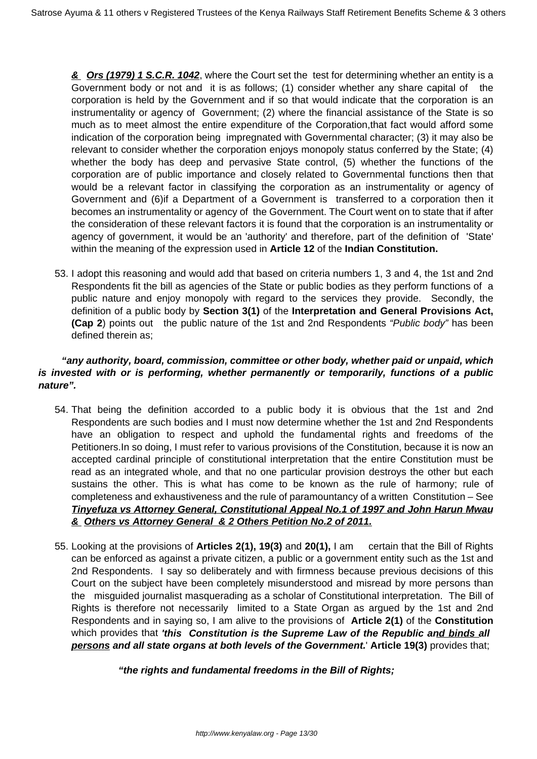**& Ors (1979) 1 S.C.R. 1042**, where the Court set the test for determining whether an entity is a Government body or not and it is as follows; (1) consider whether any share capital of the corporation is held by the Government and if so that would indicate that the corporation is an instrumentality or agency of Government; (2) where the financial assistance of the State is so much as to meet almost the entire expenditure of the Corporation,that fact would afford some indication of the corporation being impregnated with Governmental character; (3) it may also be relevant to consider whether the corporation enjoys monopoly status conferred by the State; (4) whether the body has deep and pervasive State control, (5) whether the functions of the corporation are of public importance and closely related to Governmental functions then that would be a relevant factor in classifying the corporation as an instrumentality or agency of Government and (6)if a Department of a Government is transferred to a corporation then it becomes an instrumentality or agency of the Government. The Court went on to state that if after the consideration of these relevant factors it is found that the corporation is an instrumentality or agency of government, it would be an 'authority' and therefore, part of the definition of 'State' within the meaning of the expression used in **Article 12** of the **Indian Constitution.**

53. I adopt this reasoning and would add that based on criteria numbers 1, 3 and 4, the 1st and 2nd Respondents fit the bill as agencies of the State or public bodies as they perform functions of a public nature and enjoy monopoly with regard to the services they provide. Secondly, the definition of a public body by **Section 3(1)** of the **Interpretation and General Provisions Act, (Cap 2**) points out the public nature of the 1st and 2nd Respondents "Public body" has been defined therein as;

# **"any authority, board, commission, committee or other body, whether paid or unpaid, which is invested with or is performing, whether permanently or temporarily, functions of a public nature".**

- 54. That being the definition accorded to a public body it is obvious that the 1st and 2nd Respondents are such bodies and I must now determine whether the 1st and 2nd Respondents have an obligation to respect and uphold the fundamental rights and freedoms of the Petitioners.In so doing, I must refer to various provisions of the Constitution, because it is now an accepted cardinal principle of constitutional interpretation that the entire Constitution must be read as an integrated whole, and that no one particular provision destroys the other but each sustains the other. This is what has come to be known as the rule of harmony; rule of completeness and exhaustiveness and the rule of paramountancy of a written Constitution – See **Tinyefuza vs Attorney General, Constitutional Appeal No.1 of 1997 and John Harun Mwau & Others vs Attorney General & 2 Others Petition No.2 of 2011.**
- 55. Looking at the provisions of **Articles 2(1), 19(3)** and **20(1),** I am certain that the Bill of Rights can be enforced as against a private citizen, a public or a government entity such as the 1st and 2nd Respondents. I say so deliberately and with firmness because previous decisions of this Court on the subject have been completely misunderstood and misread by more persons than the misguided journalist masquerading as a scholar of Constitutional interpretation. The Bill of Rights is therefore not necessarily limited to a State Organ as argued by the 1st and 2nd Respondents and in saying so, I am alive to the provisions of **Article 2(1)** of the **Constitution** which provides that **'this Constitution is the Supreme Law of the Republic and binds all persons and all state organs at both levels of the Government.**' **Article 19(3)** provides that;

 **"the rights and fundamental freedoms in the Bill of Rights;**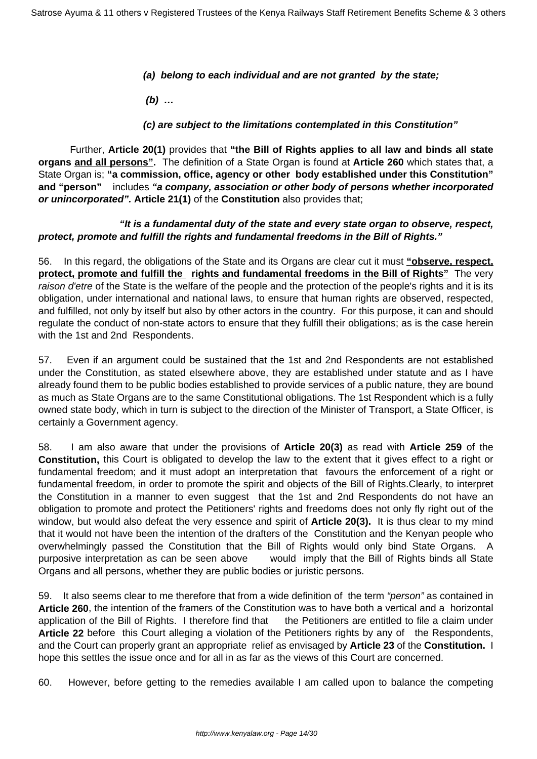## **(a) belong to each individual and are not granted by the state;**

 **(b) …**

# **(c) are subject to the limitations contemplated in this Constitution"**

 Further, **Article 20(1)** provides that **"the Bill of Rights applies to all law and binds all state organs and all persons".** The definition of a State Organ is found at **Article 260** which states that, a State Organ is; **"a commission, office, agency or other body established under this Constitution" and "person"** includes **"a company, association or other body of persons whether incorporated or unincorporated". Article 21(1)** of the **Constitution** also provides that;

# **"It is a fundamental duty of the state and every state organ to observe, respect, protect, promote and fulfill the rights and fundamental freedoms in the Bill of Rights."**

56. In this regard, the obligations of the State and its Organs are clear cut it must **"observe, respect, protect, promote and fulfill the rights and fundamental freedoms in the Bill of Rights"** The very raison d'etre of the State is the welfare of the people and the protection of the people's rights and it is its obligation, under international and national laws, to ensure that human rights are observed, respected, and fulfilled, not only by itself but also by other actors in the country. For this purpose, it can and should regulate the conduct of non-state actors to ensure that they fulfill their obligations; as is the case herein with the 1st and 2nd Respondents.

57. Even if an argument could be sustained that the 1st and 2nd Respondents are not established under the Constitution, as stated elsewhere above, they are established under statute and as I have already found them to be public bodies established to provide services of a public nature, they are bound as much as State Organs are to the same Constitutional obligations. The 1st Respondent which is a fully owned state body, which in turn is subject to the direction of the Minister of Transport, a State Officer, is certainly a Government agency.

58. I am also aware that under the provisions of **Article 20(3)** as read with **Article 259** of the **Constitution,** this Court is obligated to develop the law to the extent that it gives effect to a right or fundamental freedom; and it must adopt an interpretation that favours the enforcement of a right or fundamental freedom, in order to promote the spirit and objects of the Bill of Rights.Clearly, to interpret the Constitution in a manner to even suggest that the 1st and 2nd Respondents do not have an obligation to promote and protect the Petitioners' rights and freedoms does not only fly right out of the window, but would also defeat the very essence and spirit of **Article 20(3).** It is thus clear to my mind that it would not have been the intention of the drafters of the Constitution and the Kenyan people who overwhelmingly passed the Constitution that the Bill of Rights would only bind State Organs. A purposive interpretation as can be seen above would imply that the Bill of Rights binds all State Organs and all persons, whether they are public bodies or juristic persons.

59. It also seems clear to me therefore that from a wide definition of the term "person" as contained in **Article 260**, the intention of the framers of the Constitution was to have both a vertical and a horizontal application of the Bill of Rights. I therefore find that the Petitioners are entitled to file a claim under **Article 22** before this Court alleging a violation of the Petitioners rights by any of the Respondents, and the Court can properly grant an appropriate relief as envisaged by **Article 23** of the **Constitution.** I hope this settles the issue once and for all in as far as the views of this Court are concerned.

60. However, before getting to the remedies available I am called upon to balance the competing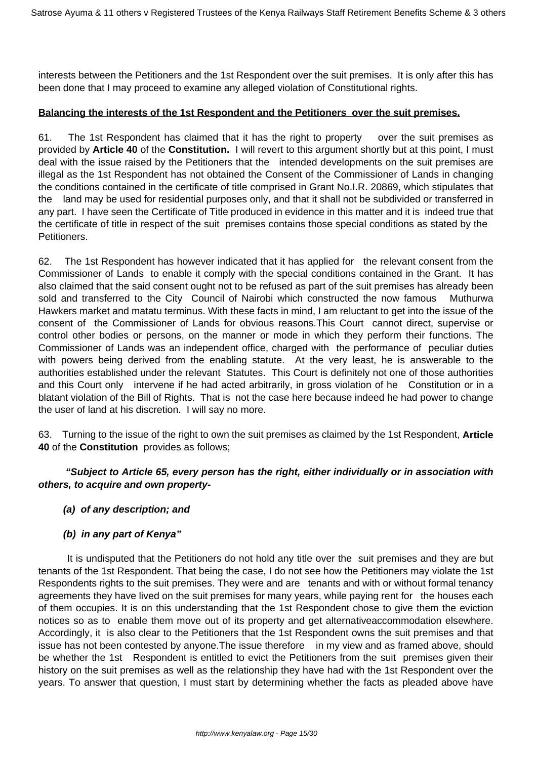interests between the Petitioners and the 1st Respondent over the suit premises. It is only after this has been done that I may proceed to examine any alleged violation of Constitutional rights.

# **Balancing the interests of the 1st Respondent and the Petitioners over the suit premises.**

61. The 1st Respondent has claimed that it has the right to property over the suit premises as provided by **Article 40** of the **Constitution.** I will revert to this argument shortly but at this point, I must deal with the issue raised by the Petitioners that the intended developments on the suit premises are illegal as the 1st Respondent has not obtained the Consent of the Commissioner of Lands in changing the conditions contained in the certificate of title comprised in Grant No.I.R. 20869, which stipulates that the land may be used for residential purposes only, and that it shall not be subdivided or transferred in any part. I have seen the Certificate of Title produced in evidence in this matter and it is indeed true that the certificate of title in respect of the suit premises contains those special conditions as stated by the Petitioners.

62. The 1st Respondent has however indicated that it has applied for the relevant consent from the Commissioner of Lands to enable it comply with the special conditions contained in the Grant. It has also claimed that the said consent ought not to be refused as part of the suit premises has already been sold and transferred to the City Council of Nairobi which constructed the now famous Muthurwa Hawkers market and matatu terminus. With these facts in mind, I am reluctant to get into the issue of the consent of the Commissioner of Lands for obvious reasons.This Court cannot direct, supervise or control other bodies or persons, on the manner or mode in which they perform their functions. The Commissioner of Lands was an independent office, charged with the performance of peculiar duties with powers being derived from the enabling statute. At the very least, he is answerable to the authorities established under the relevant Statutes. This Court is definitely not one of those authorities and this Court only intervene if he had acted arbitrarily, in gross violation of he Constitution or in a blatant violation of the Bill of Rights. That is not the case here because indeed he had power to change the user of land at his discretion. I will say no more.

63. Turning to the issue of the right to own the suit premises as claimed by the 1st Respondent, **Article 40** of the **Constitution** provides as follows;

# **"Subject to Article 65, every person has the right, either individually or in association with others, to acquire and own property-**

## **(a) of any description; and**

# **(b) in any part of Kenya"**

 It is undisputed that the Petitioners do not hold any title over the suit premises and they are but tenants of the 1st Respondent. That being the case, I do not see how the Petitioners may violate the 1st Respondents rights to the suit premises. They were and are tenants and with or without formal tenancy agreements they have lived on the suit premises for many years, while paying rent for the houses each of them occupies. It is on this understanding that the 1st Respondent chose to give them the eviction notices so as to enable them move out of its property and get alternativeaccommodation elsewhere. Accordingly, it is also clear to the Petitioners that the 1st Respondent owns the suit premises and that issue has not been contested by anyone.The issue therefore in my view and as framed above, should be whether the 1st Respondent is entitled to evict the Petitioners from the suit premises given their history on the suit premises as well as the relationship they have had with the 1st Respondent over the years. To answer that question, I must start by determining whether the facts as pleaded above have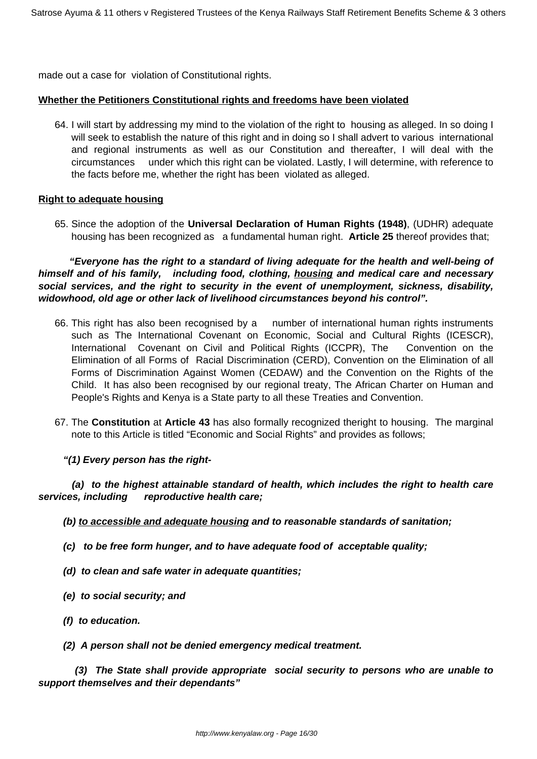made out a case for violation of Constitutional rights.

### **Whether the Petitioners Constitutional rights and freedoms have been violated**

64. I will start by addressing my mind to the violation of the right to housing as alleged. In so doing I will seek to establish the nature of this right and in doing so I shall advert to various international and regional instruments as well as our Constitution and thereafter, I will deal with the circumstances under which this right can be violated. Lastly, I will determine, with reference to the facts before me, whether the right has been violated as alleged.

### **Right to adequate housing**

65. Since the adoption of the **Universal Declaration of Human Rights (1948)**, (UDHR) adequate housing has been recognized as a fundamental human right. **Article 25** thereof provides that;

 **"Everyone has the right to a standard of living adequate for the health and well-being of himself and of his family, including food, clothing, housing and medical care and necessary social services, and the right to security in the event of unemployment, sickness, disability, widowhood, old age or other lack of livelihood circumstances beyond his control".**

- 66. This right has also been recognised by a number of international human rights instruments such as The International Covenant on Economic, Social and Cultural Rights (ICESCR), International Covenant on Civil and Political Rights (ICCPR), The Convention on the Elimination of all Forms of Racial Discrimination (CERD), Convention on the Elimination of all Forms of Discrimination Against Women (CEDAW) and the Convention on the Rights of the Child. It has also been recognised by our regional treaty, The African Charter on Human and People's Rights and Kenya is a State party to all these Treaties and Convention.
- 67. The **Constitution** at **Article 43** has also formally recognized theright to housing. The marginal note to this Article is titled "Economic and Social Rights" and provides as follows;
	- **"(1) Every person has the right-**

 **(a) to the highest attainable standard of health, which includes the right to health care services, including reproductive health care;**

- **(b) to accessible and adequate housing and to reasonable standards of sanitation;**
- **(c) to be free form hunger, and to have adequate food of acceptable quality;**
- **(d) to clean and safe water in adequate quantities;**
- **(e) to social security; and**
- **(f) to education.**
- **(2) A person shall not be denied emergency medical treatment.**

 **(3) The State shall provide appropriate social security to persons who are unable to support themselves and their dependants"**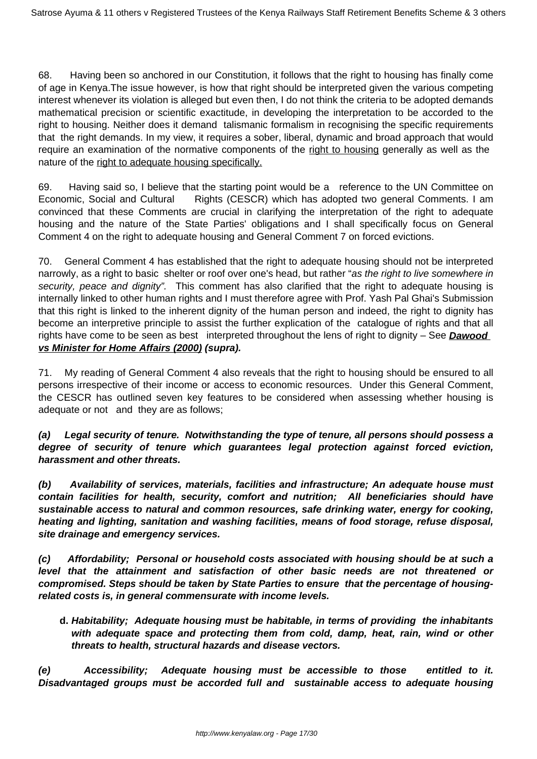68. Having been so anchored in our Constitution, it follows that the right to housing has finally come of age in Kenya.The issue however, is how that right should be interpreted given the various competing interest whenever its violation is alleged but even then, I do not think the criteria to be adopted demands mathematical precision or scientific exactitude, in developing the interpretation to be accorded to the right to housing. Neither does it demand talismanic formalism in recognising the specific requirements that the right demands. In my view, it requires a sober, liberal, dynamic and broad approach that would require an examination of the normative components of the right to housing generally as well as the nature of the right to adequate housing specifically.

69. Having said so, I believe that the starting point would be a reference to the UN Committee on Economic, Social and Cultural Rights (CESCR) which has adopted two general Comments. I am convinced that these Comments are crucial in clarifying the interpretation of the right to adequate housing and the nature of the State Parties' obligations and I shall specifically focus on General Comment 4 on the right to adequate housing and General Comment 7 on forced evictions.

70. General Comment 4 has established that the right to adequate housing should not be interpreted narrowly, as a right to basic shelter or roof over one's head, but rather "as the right to live somewhere in security, peace and dignity". This comment has also clarified that the right to adequate housing is internally linked to other human rights and I must therefore agree with Prof. Yash Pal Ghai's Submission that this right is linked to the inherent dignity of the human person and indeed, the right to dignity has become an interpretive principle to assist the further explication of the catalogue of rights and that all rights have come to be seen as best interpreted throughout the lens of right to dignity – See **Dawood vs Minister for Home Affairs (2000) (supra).**

71. My reading of General Comment 4 also reveals that the right to housing should be ensured to all persons irrespective of their income or access to economic resources. Under this General Comment, the CESCR has outlined seven key features to be considered when assessing whether housing is adequate or not and they are as follows;

**(a) Legal security of tenure. Notwithstanding the type of tenure, all persons should possess a degree of security of tenure which guarantees legal protection against forced eviction, harassment and other threats.**

**(b) Availability of services, materials, facilities and infrastructure; An adequate house must contain facilities for health, security, comfort and nutrition; All beneficiaries should have sustainable access to natural and common resources, safe drinking water, energy for cooking, heating and lighting, sanitation and washing facilities, means of food storage, refuse disposal, site drainage and emergency services.**

**(c) Affordability; Personal or household costs associated with housing should be at such a level that the attainment and satisfaction of other basic needs are not threatened or compromised. Steps should be taken by State Parties to ensure that the percentage of housingrelated costs is, in general commensurate with income levels.**

**d. Habitability; Adequate housing must be habitable, in terms of providing the inhabitants with adequate space and protecting them from cold, damp, heat, rain, wind or other threats to health, structural hazards and disease vectors.**

**(e) Accessibility; Adequate housing must be accessible to those entitled to it. Disadvantaged groups must be accorded full and sustainable access to adequate housing**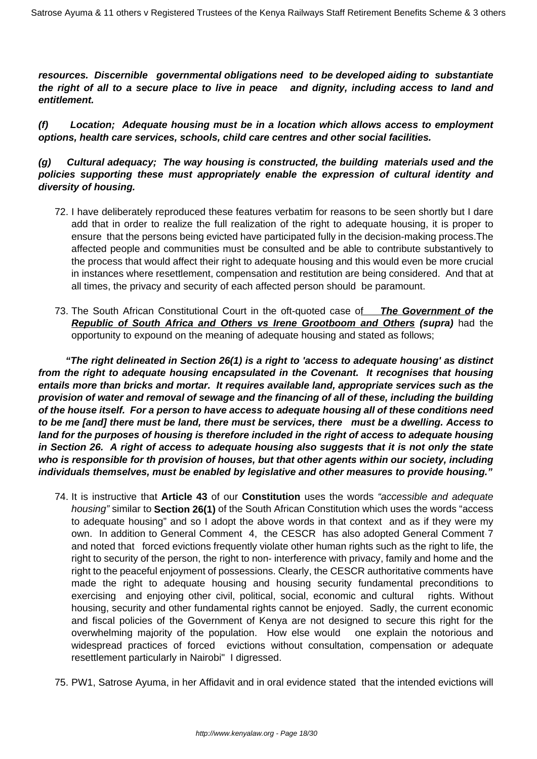**resources. Discernible governmental obligations need to be developed aiding to substantiate the right of all to a secure place to live in peace and dignity, including access to land and entitlement.**

**(f) Location; Adequate housing must be in a location which allows access to employment options, health care services, schools, child care centres and other social facilities.**

# **(g) Cultural adequacy; The way housing is constructed, the building materials used and the policies supporting these must appropriately enable the expression of cultural identity and diversity of housing.**

- 72. I have deliberately reproduced these features verbatim for reasons to be seen shortly but I dare add that in order to realize the full realization of the right to adequate housing, it is proper to ensure that the persons being evicted have participated fully in the decision-making process.The affected people and communities must be consulted and be able to contribute substantively to the process that would affect their right to adequate housing and this would even be more crucial in instances where resettlement, compensation and restitution are being considered. And that at all times, the privacy and security of each affected person should be paramount.
- 73. The South African Constitutional Court in the oft-quoted case of **The Government of the Republic of South Africa and Others vs Irene Grootboom and Others (supra)** had the opportunity to expound on the meaning of adequate housing and stated as follows;

 **"The right delineated in Section 26(1) is a right to 'access to adequate housing' as distinct from the right to adequate housing encapsulated in the Covenant. It recognises that housing entails more than bricks and mortar. It requires available land, appropriate services such as the provision of water and removal of sewage and the financing of all of these, including the building of the house itself. For a person to have access to adequate housing all of these conditions need to be me [and] there must be land, there must be services, there must be a dwelling. Access to land for the purposes of housing is therefore included in the right of access to adequate housing in Section 26. A right of access to adequate housing also suggests that it is not only the state who is responsible for th provision of houses, but that other agents within our society, including individuals themselves, must be enabled by legislative and other measures to provide housing."**

- 74. It is instructive that **Article 43** of our **Constitution** uses the words "accessible and adequate housing" similar to **Section 26(1)** of the South African Constitution which uses the words "access to adequate housing" and so I adopt the above words in that context and as if they were my own. In addition to General Comment 4, the CESCR has also adopted General Comment 7 and noted that forced evictions frequently violate other human rights such as the right to life, the right to security of the person, the right to non- interference with privacy, family and home and the right to the peaceful enjoyment of possessions. Clearly, the CESCR authoritative comments have made the right to adequate housing and housing security fundamental preconditions to exercising and enjoying other civil, political, social, economic and cultural rights. Without housing, security and other fundamental rights cannot be enjoyed. Sadly, the current economic and fiscal policies of the Government of Kenya are not designed to secure this right for the overwhelming majority of the population. How else would one explain the notorious and widespread practices of forced evictions without consultation, compensation or adequate resettlement particularly in Nairobi" I digressed.
- 75. PW1, Satrose Ayuma, in her Affidavit and in oral evidence stated that the intended evictions will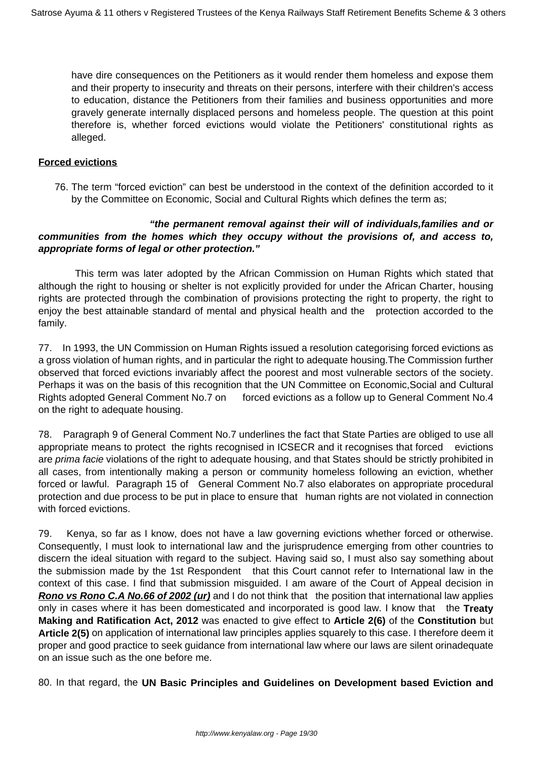have dire consequences on the Petitioners as it would render them homeless and expose them and their property to insecurity and threats on their persons, interfere with their children's access to education, distance the Petitioners from their families and business opportunities and more gravely generate internally displaced persons and homeless people. The question at this point therefore is, whether forced evictions would violate the Petitioners' constitutional rights as alleged.

### **Forced evictions**

76. The term "forced eviction" can best be understood in the context of the definition accorded to it by the Committee on Economic, Social and Cultural Rights which defines the term as;

## **"the permanent removal against their will of individuals,families and or communities from the homes which they occupy without the provisions of, and access to, appropriate forms of legal or other protection."**

 This term was later adopted by the African Commission on Human Rights which stated that although the right to housing or shelter is not explicitly provided for under the African Charter, housing rights are protected through the combination of provisions protecting the right to property, the right to enjoy the best attainable standard of mental and physical health and the protection accorded to the family.

77. In 1993, the UN Commission on Human Rights issued a resolution categorising forced evictions as a gross violation of human rights, and in particular the right to adequate housing.The Commission further observed that forced evictions invariably affect the poorest and most vulnerable sectors of the society. Perhaps it was on the basis of this recognition that the UN Committee on Economic,Social and Cultural Rights adopted General Comment No.7 on forced evictions as a follow up to General Comment No.4 on the right to adequate housing.

78. Paragraph 9 of General Comment No.7 underlines the fact that State Parties are obliged to use all appropriate means to protect the rights recognised in ICSECR and it recognises that forced evictions are *prima facie* violations of the right to adequate housing, and that States should be strictly prohibited in all cases, from intentionally making a person or community homeless following an eviction, whether forced or lawful. Paragraph 15 of General Comment No.7 also elaborates on appropriate procedural protection and due process to be put in place to ensure that human rights are not violated in connection with forced evictions.

79. Kenya, so far as I know, does not have a law governing evictions whether forced or otherwise. Consequently, I must look to international law and the jurisprudence emerging from other countries to discern the ideal situation with regard to the subject. Having said so, I must also say something about the submission made by the 1st Respondent that this Court cannot refer to International law in the context of this case. I find that submission misguided. I am aware of the Court of Appeal decision in **Rono vs Rono C.A No.66 of 2002 (ur)** and I do not think that the position that international law applies only in cases where it has been domesticated and incorporated is good law. I know that the **Treaty Making and Ratification Act, 2012** was enacted to give effect to **Article 2(6)** of the **Constitution** but **Article 2(5)** on application of international law principles applies squarely to this case. I therefore deem it proper and good practice to seek guidance from international law where our laws are silent orinadequate on an issue such as the one before me.

80. In that regard, the **UN Basic Principles and Guidelines on Development based Eviction and**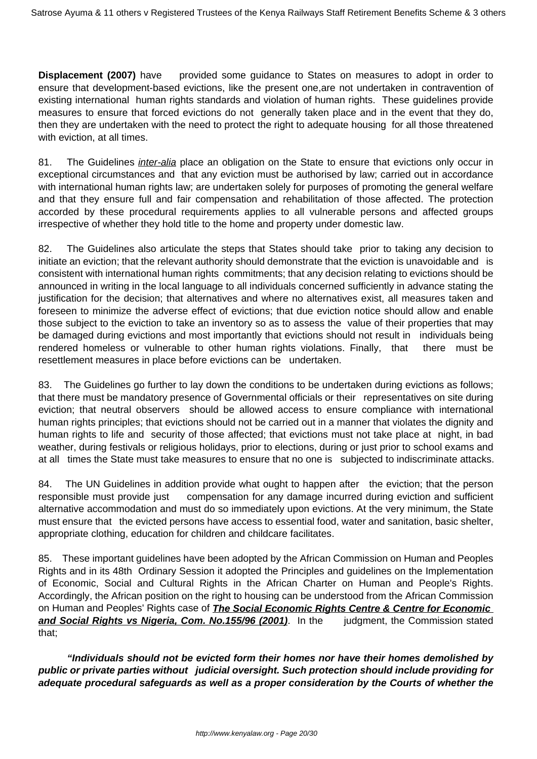**Displacement (2007)** have provided some guidance to States on measures to adopt in order to ensure that development-based evictions, like the present one,are not undertaken in contravention of existing international human rights standards and violation of human rights. These guidelines provide measures to ensure that forced evictions do not generally taken place and in the event that they do, then they are undertaken with the need to protect the right to adequate housing for all those threatened with eviction, at all times.

81. The Guidelines *inter-alia* place an obligation on the State to ensure that evictions only occur in exceptional circumstances and that any eviction must be authorised by law; carried out in accordance with international human rights law; are undertaken solely for purposes of promoting the general welfare and that they ensure full and fair compensation and rehabilitation of those affected. The protection accorded by these procedural requirements applies to all vulnerable persons and affected groups irrespective of whether they hold title to the home and property under domestic law.

82. The Guidelines also articulate the steps that States should take prior to taking any decision to initiate an eviction; that the relevant authority should demonstrate that the eviction is unavoidable and is consistent with international human rights commitments; that any decision relating to evictions should be announced in writing in the local language to all individuals concerned sufficiently in advance stating the justification for the decision; that alternatives and where no alternatives exist, all measures taken and foreseen to minimize the adverse effect of evictions; that due eviction notice should allow and enable those subject to the eviction to take an inventory so as to assess the value of their properties that may be damaged during evictions and most importantly that evictions should not result in individuals being rendered homeless or vulnerable to other human rights violations. Finally, that there must be resettlement measures in place before evictions can be undertaken.

83. The Guidelines go further to lay down the conditions to be undertaken during evictions as follows; that there must be mandatory presence of Governmental officials or their representatives on site during eviction; that neutral observers should be allowed access to ensure compliance with international human rights principles; that evictions should not be carried out in a manner that violates the dignity and human rights to life and security of those affected; that evictions must not take place at night, in bad weather, during festivals or religious holidays, prior to elections, during or just prior to school exams and at all times the State must take measures to ensure that no one is subjected to indiscriminate attacks.

84. The UN Guidelines in addition provide what ought to happen after the eviction; that the person responsible must provide just compensation for any damage incurred during eviction and sufficient alternative accommodation and must do so immediately upon evictions. At the very minimum, the State must ensure that the evicted persons have access to essential food, water and sanitation, basic shelter, appropriate clothing, education for children and childcare facilitates.

85. These important guidelines have been adopted by the African Commission on Human and Peoples Rights and in its 48th Ordinary Session it adopted the Principles and guidelines on the Implementation of Economic, Social and Cultural Rights in the African Charter on Human and People's Rights. Accordingly, the African position on the right to housing can be understood from the African Commission on Human and Peoples' Rights case of **The Social Economic Rights Centre & Centre for Economic and Social Rights vs Nigeria, Com. No.155/96 (2001)**. In the judgment, the Commission stated that;

**"Individuals should not be evicted form their homes nor have their homes demolished by public or private parties without judicial oversight. Such protection should include providing for adequate procedural safeguards as well as a proper consideration by the Courts of whether the**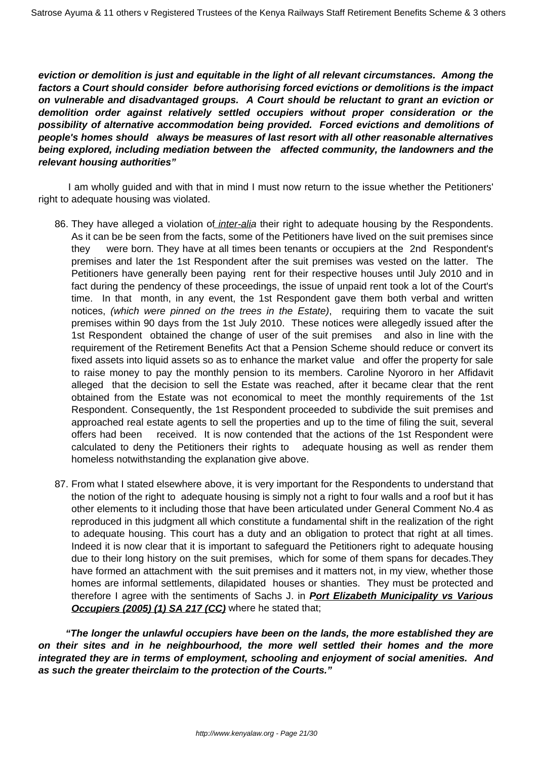**eviction or demolition is just and equitable in the light of all relevant circumstances. Among the factors a Court should consider before authorising forced evictions or demolitions is the impact on vulnerable and disadvantaged groups. A Court should be reluctant to grant an eviction or demolition order against relatively settled occupiers without proper consideration or the possibility of alternative accommodation being provided. Forced evictions and demolitions of people's homes should always be measures of last resort with all other reasonable alternatives being explored, including mediation between the affected community, the landowners and the relevant housing authorities"**

 I am wholly guided and with that in mind I must now return to the issue whether the Petitioners' right to adequate housing was violated.

- 86. They have alleged a violation of *inter-alia* their right to adequate housing by the Respondents. As it can be be seen from the facts, some of the Petitioners have lived on the suit premises since they were born. They have at all times been tenants or occupiers at the 2nd Respondent's premises and later the 1st Respondent after the suit premises was vested on the latter. The Petitioners have generally been paying rent for their respective houses until July 2010 and in fact during the pendency of these proceedings, the issue of unpaid rent took a lot of the Court's time. In that month, in any event, the 1st Respondent gave them both verbal and written notices, (which were pinned on the trees in the Estate), requiring them to vacate the suit premises within 90 days from the 1st July 2010. These notices were allegedly issued after the 1st Respondent obtained the change of user of the suit premises and also in line with the requirement of the Retirement Benefits Act that a Pension Scheme should reduce or convert its fixed assets into liquid assets so as to enhance the market value and offer the property for sale to raise money to pay the monthly pension to its members. Caroline Nyororo in her Affidavit alleged that the decision to sell the Estate was reached, after it became clear that the rent obtained from the Estate was not economical to meet the monthly requirements of the 1st Respondent. Consequently, the 1st Respondent proceeded to subdivide the suit premises and approached real estate agents to sell the properties and up to the time of filing the suit, several offers had been received. It is now contended that the actions of the 1st Respondent were calculated to deny the Petitioners their rights to adequate housing as well as render them homeless notwithstanding the explanation give above.
- 87. From what I stated elsewhere above, it is very important for the Respondents to understand that the notion of the right to adequate housing is simply not a right to four walls and a roof but it has other elements to it including those that have been articulated under General Comment No.4 as reproduced in this judgment all which constitute a fundamental shift in the realization of the right to adequate housing. This court has a duty and an obligation to protect that right at all times. Indeed it is now clear that it is important to safeguard the Petitioners right to adequate housing due to their long history on the suit premises, which for some of them spans for decades.They have formed an attachment with the suit premises and it matters not, in my view, whether those homes are informal settlements, dilapidated houses or shanties. They must be protected and therefore I agree with the sentiments of Sachs J. in **Port Elizabeth Municipality vs Various Occupiers (2005) (1) SA 217 (CC)** where he stated that;

 **"The longer the unlawful occupiers have been on the lands, the more established they are on their sites and in he neighbourhood, the more well settled their homes and the more integrated they are in terms of employment, schooling and enjoyment of social amenities. And as such the greater theirclaim to the protection of the Courts."**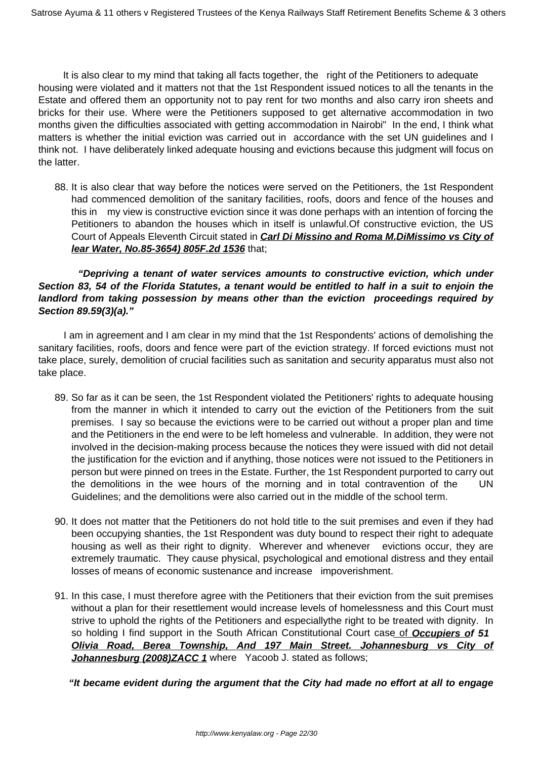It is also clear to my mind that taking all facts together, the right of the Petitioners to adequate housing were violated and it matters not that the 1st Respondent issued notices to all the tenants in the Estate and offered them an opportunity not to pay rent for two months and also carry iron sheets and bricks for their use. Where were the Petitioners supposed to get alternative accommodation in two months given the difficulties associated with getting accommodation in Nairobi" In the end, I think what matters is whether the initial eviction was carried out in accordance with the set UN guidelines and I think not. I have deliberately linked adequate housing and evictions because this judgment will focus on the latter.

88. It is also clear that way before the notices were served on the Petitioners, the 1st Respondent had commenced demolition of the sanitary facilities, roofs, doors and fence of the houses and this in my view is constructive eviction since it was done perhaps with an intention of forcing the Petitioners to abandon the houses which in itself is unlawful.Of constructive eviction, the US Court of Appeals Eleventh Circuit stated in **Carl Di Missino and Roma M.DiMissimo vs City of lear Water, No.85-3654) 805F.2d 1536** that;

# **"Depriving a tenant of water services amounts to constructive eviction, which under Section 83, 54 of the Florida Statutes, a tenant would be entitled to half in a suit to enjoin the landlord from taking possession by means other than the eviction proceedings required by Section 89.59(3)(a)."**

 I am in agreement and I am clear in my mind that the 1st Respondents' actions of demolishing the sanitary facilities, roofs, doors and fence were part of the eviction strategy. If forced evictions must not take place, surely, demolition of crucial facilities such as sanitation and security apparatus must also not take place.

- 89. So far as it can be seen, the 1st Respondent violated the Petitioners' rights to adequate housing from the manner in which it intended to carry out the eviction of the Petitioners from the suit premises. I say so because the evictions were to be carried out without a proper plan and time and the Petitioners in the end were to be left homeless and vulnerable. In addition, they were not involved in the decision-making process because the notices they were issued with did not detail the justification for the eviction and if anything, those notices were not issued to the Petitioners in person but were pinned on trees in the Estate. Further, the 1st Respondent purported to carry out the demolitions in the wee hours of the morning and in total contravention of the UN Guidelines; and the demolitions were also carried out in the middle of the school term.
- 90. It does not matter that the Petitioners do not hold title to the suit premises and even if they had been occupying shanties, the 1st Respondent was duty bound to respect their right to adequate housing as well as their right to dignity. Wherever and whenever evictions occur, they are extremely traumatic. They cause physical, psychological and emotional distress and they entail losses of means of economic sustenance and increase impoverishment.
- 91. In this case, I must therefore agree with the Petitioners that their eviction from the suit premises without a plan for their resettlement would increase levels of homelessness and this Court must strive to uphold the rights of the Petitioners and especiallythe right to be treated with dignity. In so holding I find support in the South African Constitutional Court case of **Occupiers of 51 Olivia Road, Berea Township, And 197 Main Street. Johannesburg vs City of Johannesburg (2008)ZACC 1** where Yacoob J. stated as follows;

 **"It became evident during the argument that the City had made no effort at all to engage**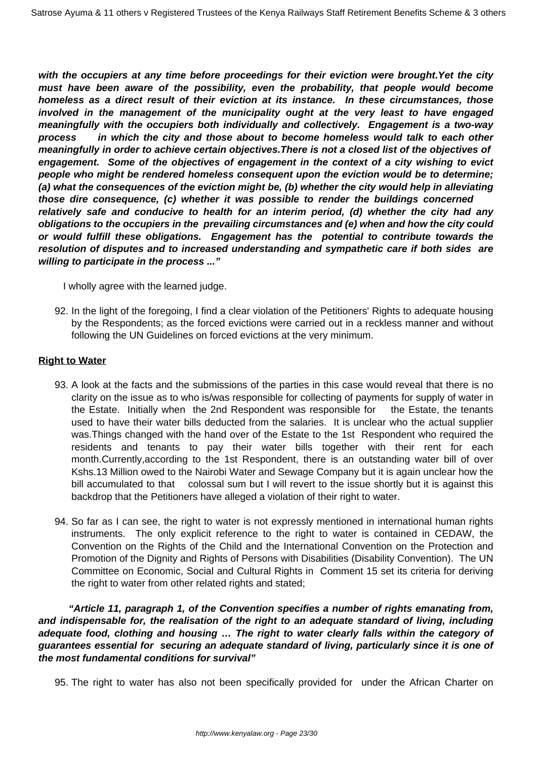**with the occupiers at any time before proceedings for their eviction were brought.Yet the city must have been aware of the possibility, even the probability, that people would become homeless as a direct result of their eviction at its instance. In these circumstances, those involved in the management of the municipality ought at the very least to have engaged meaningfully with the occupiers both individually and collectively. Engagement is a two-way process in which the city and those about to become homeless would talk to each other meaningfully in order to achieve certain objectives.There is not a closed list of the objectives of engagement. Some of the objectives of engagement in the context of a city wishing to evict people who might be rendered homeless consequent upon the eviction would be to determine; (a) what the consequences of the eviction might be, (b) whether the city would help in alleviating those dire consequence, (c) whether it was possible to render the buildings concerned relatively safe and conducive to health for an interim period, (d) whether the city had any obligations to the occupiers in the prevailing circumstances and (e) when and how the city could or would fulfill these obligations. Engagement has the potential to contribute towards the resolution of disputes and to increased understanding and sympathetic care if both sides are willing to participate in the process ..."** 

I wholly agree with the learned judge.

92. In the light of the foregoing, I find a clear violation of the Petitioners' Rights to adequate housing by the Respondents; as the forced evictions were carried out in a reckless manner and without following the UN Guidelines on forced evictions at the very minimum.

## **Right to Water**

- 93. A look at the facts and the submissions of the parties in this case would reveal that there is no clarity on the issue as to who is/was responsible for collecting of payments for supply of water in the Estate. Initially when the 2nd Respondent was responsible for the Estate, the tenants used to have their water bills deducted from the salaries. It is unclear who the actual supplier was.Things changed with the hand over of the Estate to the 1st Respondent who required the residents and tenants to pay their water bills together with their rent for each month.Currently,according to the 1st Respondent, there is an outstanding water bill of over Kshs.13 Million owed to the Nairobi Water and Sewage Company but it is again unclear how the bill accumulated to that colossal sum but I will revert to the issue shortly but it is against this backdrop that the Petitioners have alleged a violation of their right to water.
- 94. So far as I can see, the right to water is not expressly mentioned in international human rights instruments. The only explicit reference to the right to water is contained in CEDAW, the Convention on the Rights of the Child and the International Convention on the Protection and Promotion of the Dignity and Rights of Persons with Disabilities (Disability Convention). The UN Committee on Economic, Social and Cultural Rights in Comment 15 set its criteria for deriving the right to water from other related rights and stated;

 **"Article 11, paragraph 1, of the Convention specifies a number of rights emanating from, and indispensable for, the realisation of the right to an adequate standard of living, including adequate food, clothing and housing … The right to water clearly falls within the category of guarantees essential for securing an adequate standard of living, particularly since it is one of the most fundamental conditions for survival"**

95. The right to water has also not been specifically provided for under the African Charter on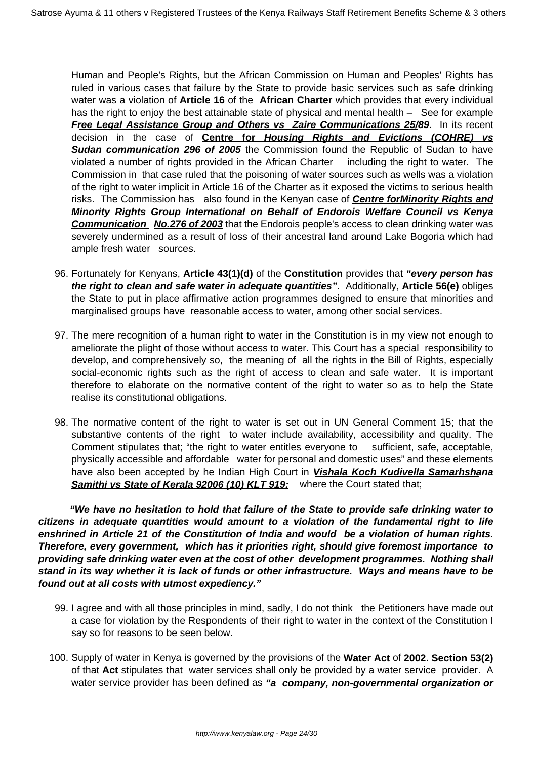Human and People's Rights, but the African Commission on Human and Peoples' Rights has ruled in various cases that failure by the State to provide basic services such as safe drinking water was a violation of **Article 16** of the **African Charter** which provides that every individual has the right to enjoy the best attainable state of physical and mental health – See for example **Free Legal Assistance Group and Others vs Zaire Communications 25/89.** In its recent decision in the case of **Centre for Housing Rights and Evictions (COHRE) vs Sudan communication 296 of 2005** the Commission found the Republic of Sudan to have violated a number of rights provided in the African Charter including the right to water. The Commission in that case ruled that the poisoning of water sources such as wells was a violation of the right to water implicit in Article 16 of the Charter as it exposed the victims to serious health risks. The Commission has also found in the Kenyan case of **Centre forMinority Rights and Minority Rights Group International on Behalf of Endorois Welfare Council vs Kenya Communication No.276 of 2003** that the Endorois people's access to clean drinking water was severely undermined as a result of loss of their ancestral land around Lake Bogoria which had ample fresh water sources.

- 96. Fortunately for Kenyans, **Article 43(1)(d)** of the **Constitution** provides that **"every person has the right to clean and safe water in adequate quantities"**. Additionally, **Article 56(e)** obliges the State to put in place affirmative action programmes designed to ensure that minorities and marginalised groups have reasonable access to water, among other social services.
- 97. The mere recognition of a human right to water in the Constitution is in my view not enough to ameliorate the plight of those without access to water. This Court has a special responsibility to develop, and comprehensively so, the meaning of all the rights in the Bill of Rights, especially social-economic rights such as the right of access to clean and safe water. It is important therefore to elaborate on the normative content of the right to water so as to help the State realise its constitutional obligations.
- 98. The normative content of the right to water is set out in UN General Comment 15; that the substantive contents of the right to water include availability, accessibility and quality. The Comment stipulates that; "the right to water entitles everyone to sufficient, safe, acceptable, physically accessible and affordable water for personal and domestic uses" and these elements have also been accepted by he Indian High Court in **Vishala Koch Kudivella Samarhshana Samithi vs State of Kerala 92006 (10) KLT 919;** where the Court stated that;

 **"We have no hesitation to hold that failure of the State to provide safe drinking water to citizens in adequate quantities would amount to a violation of the fundamental right to life enshrined in Article 21 of the Constitution of India and would be a violation of human rights. Therefore, every government, which has it priorities right, should give foremost importance to providing safe drinking water even at the cost of other development programmes. Nothing shall stand in its way whether it is lack of funds or other infrastructure. Ways and means have to be found out at all costs with utmost expediency."**

- 99. I agree and with all those principles in mind, sadly, I do not think the Petitioners have made out a case for violation by the Respondents of their right to water in the context of the Constitution I say so for reasons to be seen below.
- 100. Supply of water in Kenya is governed by the provisions of the **Water Act** of **2002**. **Section 53(2)** of that **Act** stipulates that water services shall only be provided by a water service provider. A water service provider has been defined as **"a company, non-governmental organization or**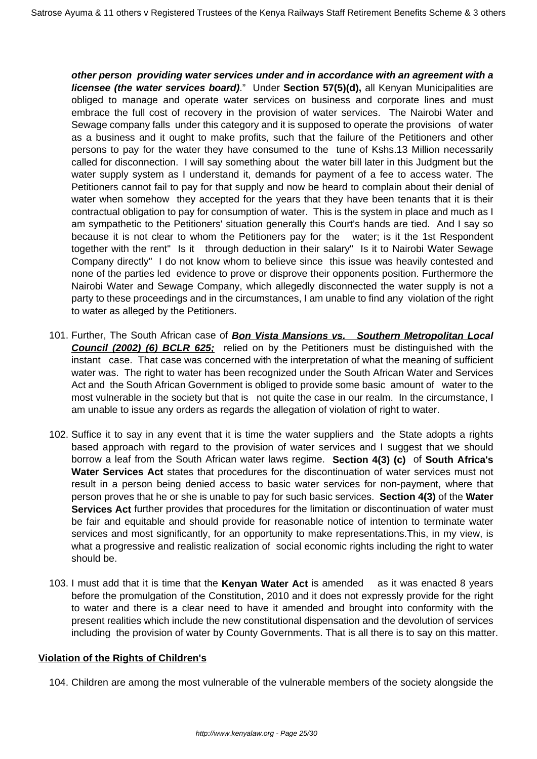**other person providing water services under and in accordance with an agreement with a licensee (the water services board)**." Under **Section 57(5)(d),** all Kenyan Municipalities are obliged to manage and operate water services on business and corporate lines and must embrace the full cost of recovery in the provision of water services. The Nairobi Water and Sewage company falls under this category and it is supposed to operate the provisions of water as a business and it ought to make profits, such that the failure of the Petitioners and other persons to pay for the water they have consumed to the tune of Kshs.13 Million necessarily called for disconnection. I will say something about the water bill later in this Judgment but the water supply system as I understand it, demands for payment of a fee to access water. The Petitioners cannot fail to pay for that supply and now be heard to complain about their denial of water when somehow they accepted for the years that they have been tenants that it is their contractual obligation to pay for consumption of water. This is the system in place and much as I am sympathetic to the Petitioners' situation generally this Court's hands are tied. And I say so because it is not clear to whom the Petitioners pay for the water; is it the 1st Respondent together with the rent" Is it through deduction in their salary" Is it to Nairobi Water Sewage Company directly" I do not know whom to believe since this issue was heavily contested and none of the parties led evidence to prove or disprove their opponents position. Furthermore the Nairobi Water and Sewage Company, which allegedly disconnected the water supply is not a party to these proceedings and in the circumstances, I am unable to find any violation of the right to water as alleged by the Petitioners.

- 101. Further, The South African case of **Bon Vista Mansions vs. Southern Metropolitan Local Council (2002) (6) BCLR 625;** relied on by the Petitioners must be distinguished with the instant case. That case was concerned with the interpretation of what the meaning of sufficient water was. The right to water has been recognized under the South African Water and Services Act and the South African Government is obliged to provide some basic amount of water to the most vulnerable in the society but that is not quite the case in our realm. In the circumstance, I am unable to issue any orders as regards the allegation of violation of right to water.
- 102. Suffice it to say in any event that it is time the water suppliers and the State adopts a rights based approach with regard to the provision of water services and I suggest that we should borrow a leaf from the South African water laws regime. **Section 4(3) (c)** of **South Africa's Water Services Act** states that procedures for the discontinuation of water services must not result in a person being denied access to basic water services for non-payment, where that person proves that he or she is unable to pay for such basic services. **Section 4(3)** of the **Water Services Act** further provides that procedures for the limitation or discontinuation of water must be fair and equitable and should provide for reasonable notice of intention to terminate water services and most significantly, for an opportunity to make representations.This, in my view, is what a progressive and realistic realization of social economic rights including the right to water should be.
- 103. I must add that it is time that the **Kenyan Water Act** is amended as it was enacted 8 years before the promulgation of the Constitution, 2010 and it does not expressly provide for the right to water and there is a clear need to have it amended and brought into conformity with the present realities which include the new constitutional dispensation and the devolution of services including the provision of water by County Governments. That is all there is to say on this matter.

## **Violation of the Rights of Children's**

104. Children are among the most vulnerable of the vulnerable members of the society alongside the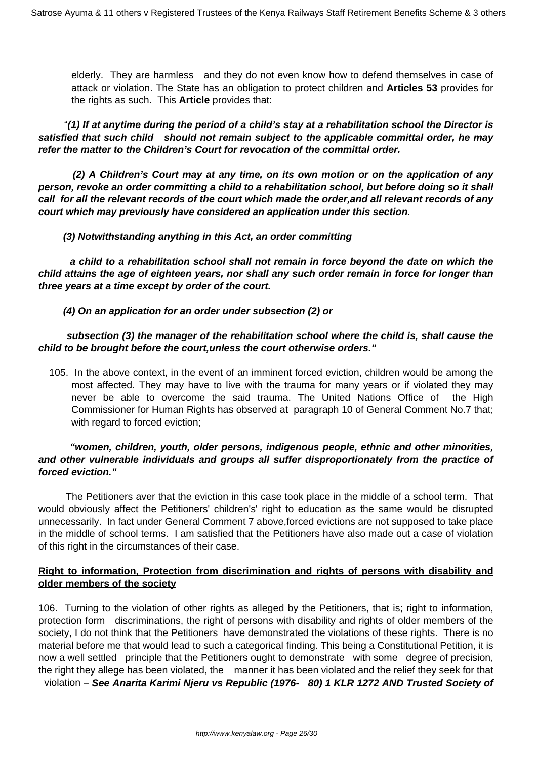elderly. They are harmless and they do not even know how to defend themselves in case of attack or violation. The State has an obligation to protect children and **Articles 53** provides for the rights as such. This **Article** provides that:

 "**(1) If at anytime during the period of a child's stay at a rehabilitation school the Director is satisfied that such child should not remain subject to the applicable committal order, he may refer the matter to the Children's Court for revocation of the committal order.** 

 **(2) A Children's Court may at any time, on its own motion or on the application of any person, revoke an order committing a child to a rehabilitation school, but before doing so it shall call for all the relevant records of the court which made the order,and all relevant records of any court which may previously have considered an application under this section.** 

## **(3) Notwithstanding anything in this Act, an order committing**

 **a child to a rehabilitation school shall not remain in force beyond the date on which the child attains the age of eighteen years, nor shall any such order remain in force for longer than three years at a time except by order of the court.** 

## **(4) On an application for an order under subsection (2) or**

## **subsection (3) the manager of the rehabilitation school where the child is, shall cause the child to be brought before the court,unless the court otherwise orders."**

105. In the above context, in the event of an imminent forced eviction, children would be among the most affected. They may have to live with the trauma for many years or if violated they may never be able to overcome the said trauma. The United Nations Office of the High Commissioner for Human Rights has observed at paragraph 10 of General Comment No.7 that; with regard to forced eviction;

## **"women, children, youth, older persons, indigenous people, ethnic and other minorities, and other vulnerable individuals and groups all suffer disproportionately from the practice of forced eviction."**

 The Petitioners aver that the eviction in this case took place in the middle of a school term. That would obviously affect the Petitioners' children's' right to education as the same would be disrupted unnecessarily. In fact under General Comment 7 above,forced evictions are not supposed to take place in the middle of school terms. I am satisfied that the Petitioners have also made out a case of violation of this right in the circumstances of their case.

# **Right to information, Protection from discrimination and rights of persons with disability and older members of the society**

106. Turning to the violation of other rights as alleged by the Petitioners, that is; right to information, protection form discriminations, the right of persons with disability and rights of older members of the society, I do not think that the Petitioners have demonstrated the violations of these rights. There is no material before me that would lead to such a categorical finding. This being a Constitutional Petition, it is now a well settled principle that the Petitioners ought to demonstrate with some degree of precision, the right they allege has been violated, the manner it has been violated and the relief they seek for that violation – **See Anarita Karimi Njeru vs Republic (1976- 80) 1 KLR 1272 AND Trusted Society of**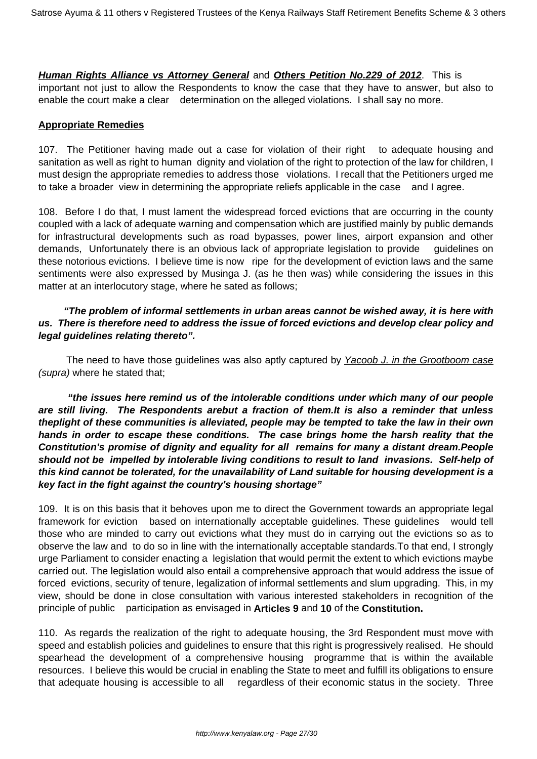**Human Rights Alliance vs Attorney General** and **Others Petition No.229 of 2012**. This is important not just to allow the Respondents to know the case that they have to answer, but also to enable the court make a clear determination on the alleged violations. I shall say no more.

## **Appropriate Remedies**

107. The Petitioner having made out a case for violation of their right to adequate housing and sanitation as well as right to human dignity and violation of the right to protection of the law for children, I must design the appropriate remedies to address those violations. I recall that the Petitioners urged me to take a broader view in determining the appropriate reliefs applicable in the case and I agree.

108. Before I do that, I must lament the widespread forced evictions that are occurring in the county coupled with a lack of adequate warning and compensation which are justified mainly by public demands for infrastructural developments such as road bypasses, power lines, airport expansion and other demands, Unfortunately there is an obvious lack of appropriate legislation to provide guidelines on these notorious evictions. I believe time is now ripe for the development of eviction laws and the same sentiments were also expressed by Musinga J. (as he then was) while considering the issues in this matter at an interlocutory stage, where he sated as follows;

## **"The problem of informal settlements in urban areas cannot be wished away, it is here with us. There is therefore need to address the issue of forced evictions and develop clear policy and legal guidelines relating thereto".**

The need to have those guidelines was also aptly captured by Yacoob J. in the Grootboom case (supra) where he stated that;

 **"the issues here remind us of the intolerable conditions under which many of our people are still living. The Respondents arebut a fraction of them.It is also a reminder that unless theplight of these communities is alleviated, people may be tempted to take the law in their own hands in order to escape these conditions. The case brings home the harsh reality that the Constitution's promise of dignity and equality for all remains for many a distant dream.People should not be impelled by intolerable living conditions to result to land invasions. Self-help of this kind cannot be tolerated, for the unavailability of Land suitable for housing development is a key fact in the fight against the country's housing shortage"**

109. It is on this basis that it behoves upon me to direct the Government towards an appropriate legal framework for eviction based on internationally acceptable guidelines. These guidelines would tell those who are minded to carry out evictions what they must do in carrying out the evictions so as to observe the law and to do so in line with the internationally acceptable standards.To that end, I strongly urge Parliament to consider enacting a legislation that would permit the extent to which evictions maybe carried out. The legislation would also entail a comprehensive approach that would address the issue of forced evictions, security of tenure, legalization of informal settlements and slum upgrading. This, in my view, should be done in close consultation with various interested stakeholders in recognition of the principle of public participation as envisaged in **Articles 9** and **10** of the **Constitution.**

110. As regards the realization of the right to adequate housing, the 3rd Respondent must move with speed and establish policies and guidelines to ensure that this right is progressively realised. He should spearhead the development of a comprehensive housing programme that is within the available resources. I believe this would be crucial in enabling the State to meet and fulfill its obligations to ensure that adequate housing is accessible to all regardless of their economic status in the society. Three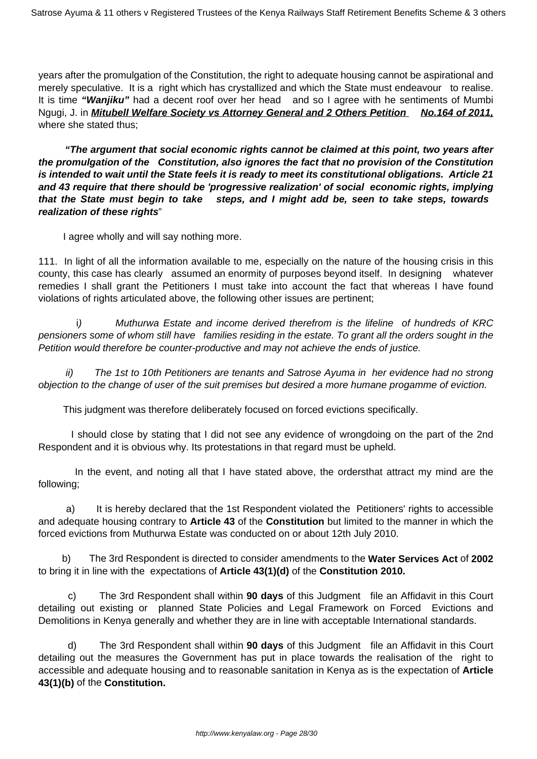years after the promulgation of the Constitution, the right to adequate housing cannot be aspirational and merely speculative. It is a right which has crystallized and which the State must endeavour to realise. It is time **"Wanjiku"** had a decent roof over her head and so I agree with he sentiments of Mumbi Ngugi, J. in **Mitubell Welfare Society vs Attorney General and 2 Others Petition No.164 of 2011,** where she stated thus;

 **"The argument that social economic rights cannot be claimed at this point, two years after the promulgation of the Constitution, also ignores the fact that no provision of the Constitution is intended to wait until the State feels it is ready to meet its constitutional obligations. Article 21 and 43 require that there should be 'progressive realization' of social economic rights, implying that the State must begin to take steps, and I might add be, seen to take steps, towards realization of these rights**"

I agree wholly and will say nothing more.

111. In light of all the information available to me, especially on the nature of the housing crisis in this county, this case has clearly assumed an enormity of purposes beyond itself. In designing whatever remedies I shall grant the Petitioners I must take into account the fact that whereas I have found violations of rights articulated above, the following other issues are pertinent;

 i) Muthurwa Estate and income derived therefrom is the lifeline of hundreds of KRC pensioners some of whom still have families residing in the estate. To grant all the orders sought in the Petition would therefore be counter-productive and may not achieve the ends of justice.

 ii) The 1st to 10th Petitioners are tenants and Satrose Ayuma in her evidence had no strong objection to the change of user of the suit premises but desired a more humane progamme of eviction.

This judgment was therefore deliberately focused on forced evictions specifically.

 I should close by stating that I did not see any evidence of wrongdoing on the part of the 2nd Respondent and it is obvious why. Its protestations in that regard must be upheld.

In the event, and noting all that I have stated above, the ordersthat attract my mind are the following;

a) It is hereby declared that the 1st Respondent violated the Petitioners' rights to accessible and adequate housing contrary to **Article 43** of the **Constitution** but limited to the manner in which the forced evictions from Muthurwa Estate was conducted on or about 12th July 2010.

 b) The 3rd Respondent is directed to consider amendments to the **Water Services Act** of **2002** to bring it in line with the expectations of **Article 43(1)(d)** of the **Constitution 2010.**

 c) The 3rd Respondent shall within **90 days** of this Judgment file an Affidavit in this Court detailing out existing or planned State Policies and Legal Framework on Forced Evictions and Demolitions in Kenya generally and whether they are in line with acceptable International standards.

 d) The 3rd Respondent shall within **90 days** of this Judgment file an Affidavit in this Court detailing out the measures the Government has put in place towards the realisation of the right to accessible and adequate housing and to reasonable sanitation in Kenya as is the expectation of **Article 43(1)(b)** of the **Constitution.**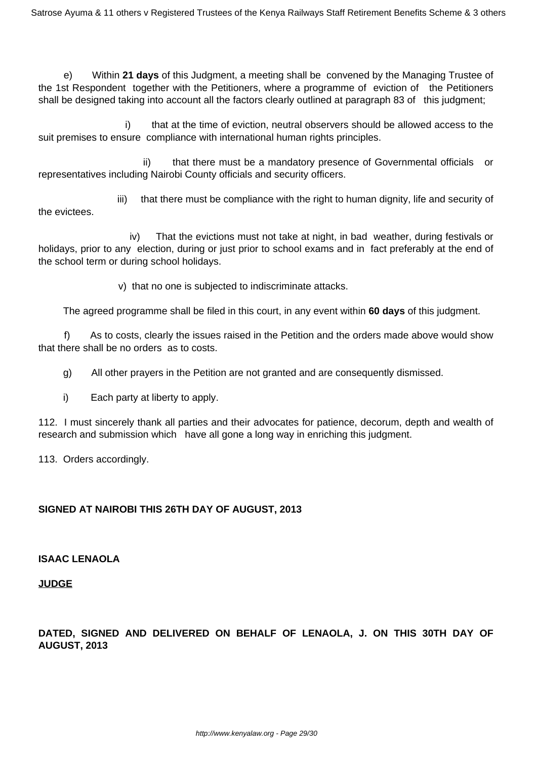e) Within **21 days** of this Judgment, a meeting shall be convened by the Managing Trustee of the 1st Respondent together with the Petitioners, where a programme of eviction of the Petitioners shall be designed taking into account all the factors clearly outlined at paragraph 83 of this judgment;

 i) that at the time of eviction, neutral observers should be allowed access to the suit premises to ensure compliance with international human rights principles.

ii) that there must be a mandatory presence of Governmental officials or representatives including Nairobi County officials and security officers.

 iii) that there must be compliance with the right to human dignity, life and security of the evictees.

 iv) That the evictions must not take at night, in bad weather, during festivals or holidays, prior to any election, during or just prior to school exams and in fact preferably at the end of the school term or during school holidays.

v) that no one is subjected to indiscriminate attacks.

The agreed programme shall be filed in this court, in any event within **60 days** of this judgment.

 f) As to costs, clearly the issues raised in the Petition and the orders made above would show that there shall be no orders as to costs.

g) All other prayers in the Petition are not granted and are consequently dismissed.

i) Each party at liberty to apply.

112. I must sincerely thank all parties and their advocates for patience, decorum, depth and wealth of research and submission which have all gone a long way in enriching this judgment.

113. Orders accordingly.

# **SIGNED AT NAIROBI THIS 26TH DAY OF AUGUST, 2013**

## **ISAAC LENAOLA**

## **JUDGE**

# **DATED, SIGNED AND DELIVERED ON BEHALF OF LENAOLA, J. ON THIS 30TH DAY OF AUGUST, 2013**